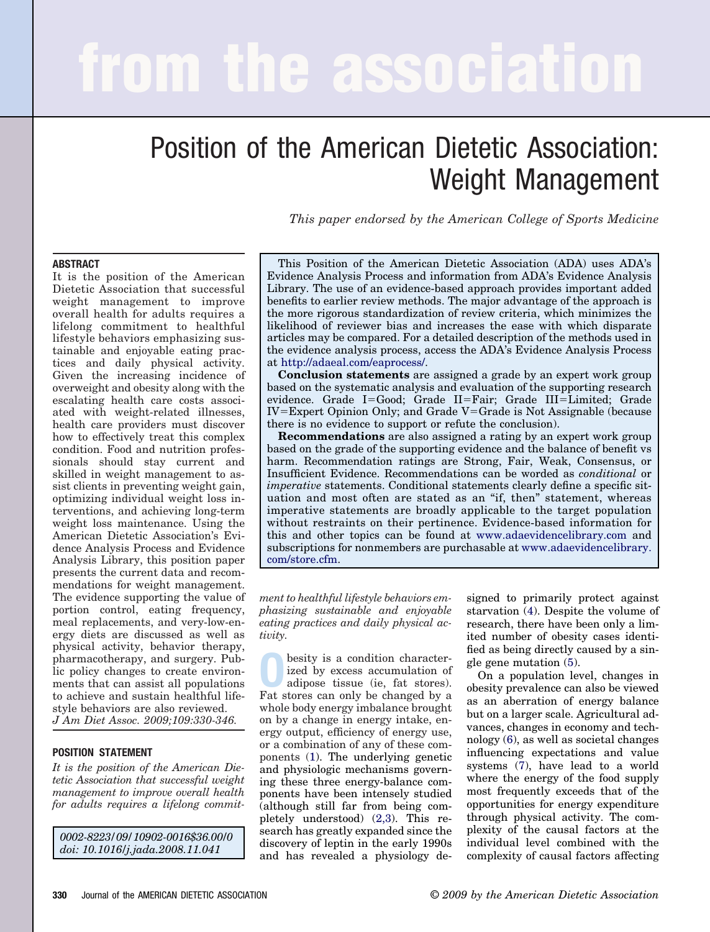# **from the association**

## Position of the American Dietetic Association: Weight Management

*This paper endorsed by the American College of Sports Medicine*

#### **ABSTRACT**

It is the position of the American Dietetic Association that successful weight management to improve overall health for adults requires a lifelong commitment to healthful lifestyle behaviors emphasizing sustainable and enjoyable eating practices and daily physical activity. Given the increasing incidence of overweight and obesity along with the escalating health care costs associated with weight-related illnesses, health care providers must discover how to effectively treat this complex condition. Food and nutrition professionals should stay current and skilled in weight management to assist clients in preventing weight gain, optimizing individual weight loss interventions, and achieving long-term weight loss maintenance. Using the American Dietetic Association's Evidence Analysis Process and Evidence Analysis Library, this position paper presents the current data and recommendations for weight management. The evidence supporting the value of portion control, eating frequency, meal replacements, and very-low-energy diets are discussed as well as physical activity, behavior therapy, pharmacotherapy, and surgery. Public policy changes to create environments that can assist all populations to achieve and sustain healthful lifestyle behaviors are also reviewed. *J Am Diet Assoc. 2009;109:330-346.*

#### **POSITION STATEMENT**

*It is the position of the American Dietetic Association that successful weight management to improve overall health for adults requires a lifelong commit-*

*0002-8223/09/10902-0016\$36.00/0 doi: 10.1016/j.jada.2008.11.041*

This Position of the American Dietetic Association (ADA) uses ADA's Evidence Analysis Process and information from ADA's Evidence Analysis Library. The use of an evidence-based approach provides important added benefits to earlier review methods. The major advantage of the approach is the more rigorous standardization of review criteria, which minimizes the likelihood of reviewer bias and increases the ease with which disparate articles may be compared. For a detailed description of the methods used in the evidence analysis process, access the ADA's Evidence Analysis Process at [http://adaeal.com/eaprocess/.](http://adaeal.com/eaprocess/)

**Conclusion statements** are assigned a grade by an expert work group based on the systematic analysis and evaluation of the supporting research evidence. Grade I=Good; Grade II=Fair; Grade III=Limited; Grade  $IV = Expert$  Opinion Only; and Grade  $V = Grade$  is Not Assignable (because there is no evidence to support or refute the conclusion).

**Recommendations** are also assigned a rating by an expert work group based on the grade of the supporting evidence and the balance of benefit vs harm. Recommendation ratings are Strong, Fair, Weak, Consensus, or Insufficient Evidence. Recommendations can be worded as *conditional* or *imperative* statements. Conditional statements clearly define a specific situation and most often are stated as an "if, then" statement, whereas imperative statements are broadly applicable to the target population without restraints on their pertinence. Evidence-based information for this and other topics can be found at [www.adaevidencelibrary.com](http://www.adaevidencelibrary.com) and subscriptions for nonmembers are purchasable at [www.adaevidencelibrary.](http://www.adaevidencelibrary.com/store.cfm) [com/store.cfm.](http://www.adaevidencelibrary.com/store.cfm)

*ment to healthful lifestyle behaviors emphasizing sustainable and enjoyable eating practices and daily physical activity.*

**O**besity is a condition character-<br>
ized by excess accumulation of<br>
adipose tissue (ie, fat stores).<br>
For stores can only be changed by a ized by excess accumulation of Fat stores can only be changed by a whole body energy imbalance brought on by a change in energy intake, energy output, efficiency of energy use, or a combination of any of these components [\(1\)](#page-13-0). The underlying genetic and physiologic mechanisms governing these three energy-balance components have been intensely studied (although still far from being completely understood) [\(2,3\)](#page-13-0). This research has greatly expanded since the discovery of leptin in the early 1990s and has revealed a physiology designed to primarily protect against starvation [\(4\)](#page-13-0). Despite the volume of research, there have been only a limited number of obesity cases identified as being directly caused by a single gene mutation [\(5\)](#page-13-0).

On a population level, changes in obesity prevalence can also be viewed as an aberration of energy balance but on a larger scale. Agricultural advances, changes in economy and technology [\(6\)](#page-13-0), as well as societal changes influencing expectations and value systems [\(7\)](#page-13-0), have lead to a world where the energy of the food supply most frequently exceeds that of the opportunities for energy expenditure through physical activity. The complexity of the causal factors at the individual level combined with the complexity of causal factors affecting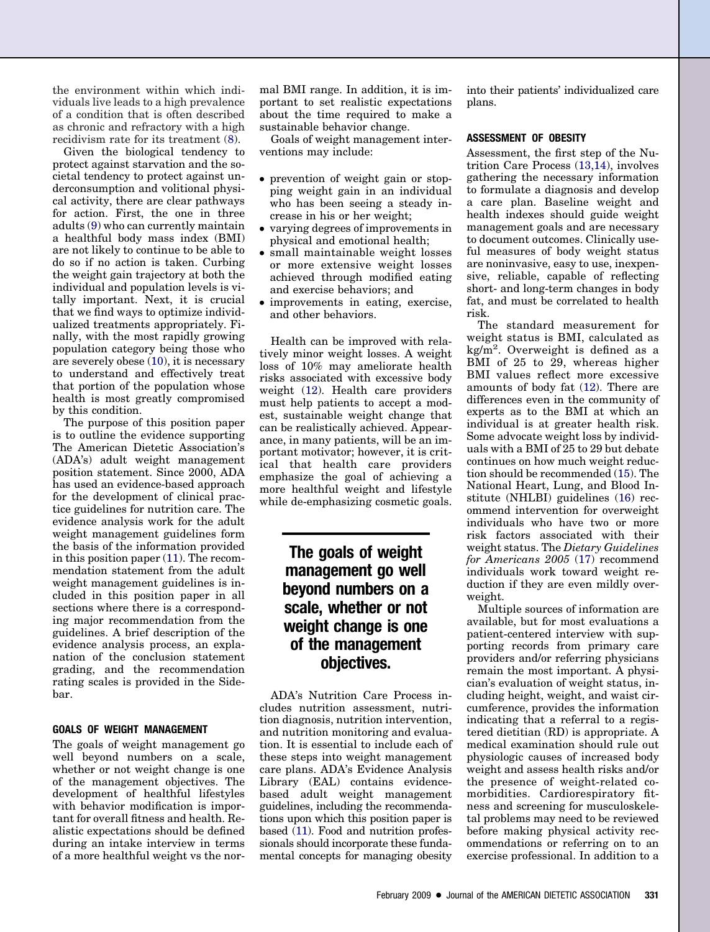the environment within which individuals live leads to a high prevalence of a condition that is often described as chronic and refractory with a high recidivism rate for its treatment [\(8\)](#page-13-0).

Given the biological tendency to protect against starvation and the societal tendency to protect against underconsumption and volitional physical activity, there are clear pathways for action. First, the one in three adults [\(9\)](#page-13-0) who can currently maintain a healthful body mass index (BMI) are not likely to continue to be able to do so if no action is taken. Curbing the weight gain trajectory at both the individual and population levels is vitally important. Next, it is crucial that we find ways to optimize individualized treatments appropriately. Finally, with the most rapidly growing population category being those who are severely obese [\(10\)](#page-13-0), it is necessary to understand and effectively treat that portion of the population whose health is most greatly compromised by this condition.

The purpose of this position paper is to outline the evidence supporting The American Dietetic Association's (ADA's) adult weight management position statement. Since 2000, ADA has used an evidence-based approach for the development of clinical practice guidelines for nutrition care. The evidence analysis work for the adult weight management guidelines form the basis of the information provided in this position paper [\(11\)](#page-13-0). The recommendation statement from the adult weight management guidelines is included in this position paper in all sections where there is a corresponding major recommendation from the guidelines. A brief description of the evidence analysis process, an explanation of the conclusion statement grading, and the recommendation rating scales is provided in the Sidebar.

#### **GOALS OF WEIGHT MANAGEMENT**

The goals of weight management go well beyond numbers on a scale, whether or not weight change is one of the management objectives. The development of healthful lifestyles with behavior modification is important for overall fitness and health. Realistic expectations should be defined during an intake interview in terms of a more healthful weight vs the normal BMI range. In addition, it is important to set realistic expectations about the time required to make a sustainable behavior change.

Goals of weight management interventions may include:

- prevention of weight gain or stopping weight gain in an individual who has been seeing a steady increase in his or her weight;
- varying degrees of improvements in physical and emotional health;
- small maintainable weight losses or more extensive weight losses achieved through modified eating and exercise behaviors; and
- improvements in eating, exercise, and other behaviors.

Health can be improved with relatively minor weight losses. A weight loss of 10% may ameliorate health risks associated with excessive body weight [\(12\)](#page-13-0). Health care providers must help patients to accept a modest, sustainable weight change that can be realistically achieved. Appearance, in many patients, will be an important motivator; however, it is critical that health care providers emphasize the goal of achieving a more healthful weight and lifestyle while de-emphasizing cosmetic goals.

### **The goals of weight management go well beyond numbers on a scale, whether or not weight change is one of the management objectives.**

ADA's Nutrition Care Process includes nutrition assessment, nutrition diagnosis, nutrition intervention, and nutrition monitoring and evaluation. It is essential to include each of these steps into weight management care plans. ADA's Evidence Analysis Library (EAL) contains evidencebased adult weight management guidelines, including the recommendations upon which this position paper is based [\(11\)](#page-13-0). Food and nutrition professionals should incorporate these fundamental concepts for managing obesity

into their patients' individualized care plans.

#### **ASSESSMENT OF OBESITY**

Assessment, the first step of the Nutrition Care Process [\(13,14\)](#page-13-0), involves gathering the necessary information to formulate a diagnosis and develop a care plan. Baseline weight and health indexes should guide weight management goals and are necessary to document outcomes. Clinically useful measures of body weight status are noninvasive, easy to use, inexpensive, reliable, capable of reflecting short- and long-term changes in body fat, and must be correlated to health risk.

The standard measurement for weight status is BMI, calculated as kg/m<sup>2</sup>. Overweight is defined as a BMI of 25 to 29, whereas higher BMI values reflect more excessive amounts of body fat [\(12\)](#page-13-0). There are differences even in the community of experts as to the BMI at which an individual is at greater health risk. Some advocate weight loss by individuals with a BMI of 25 to 29 but debate continues on how much weight reduction should be recommended [\(15\)](#page-13-0). The National Heart, Lung, and Blood Institute (NHLBI) guidelines [\(16\)](#page-13-0) recommend intervention for overweight individuals who have two or more risk factors associated with their weight status. The *Dietary Guidelines for Americans 2005* [\(17\)](#page-13-0) recommend individuals work toward weight reduction if they are even mildly overweight.

Multiple sources of information are available, but for most evaluations a patient-centered interview with supporting records from primary care providers and/or referring physicians remain the most important. A physician's evaluation of weight status, including height, weight, and waist circumference, provides the information indicating that a referral to a registered dietitian (RD) is appropriate. A medical examination should rule out physiologic causes of increased body weight and assess health risks and/or the presence of weight-related comorbidities. Cardiorespiratory fitness and screening for musculoskeletal problems may need to be reviewed before making physical activity recommendations or referring on to an exercise professional. In addition to a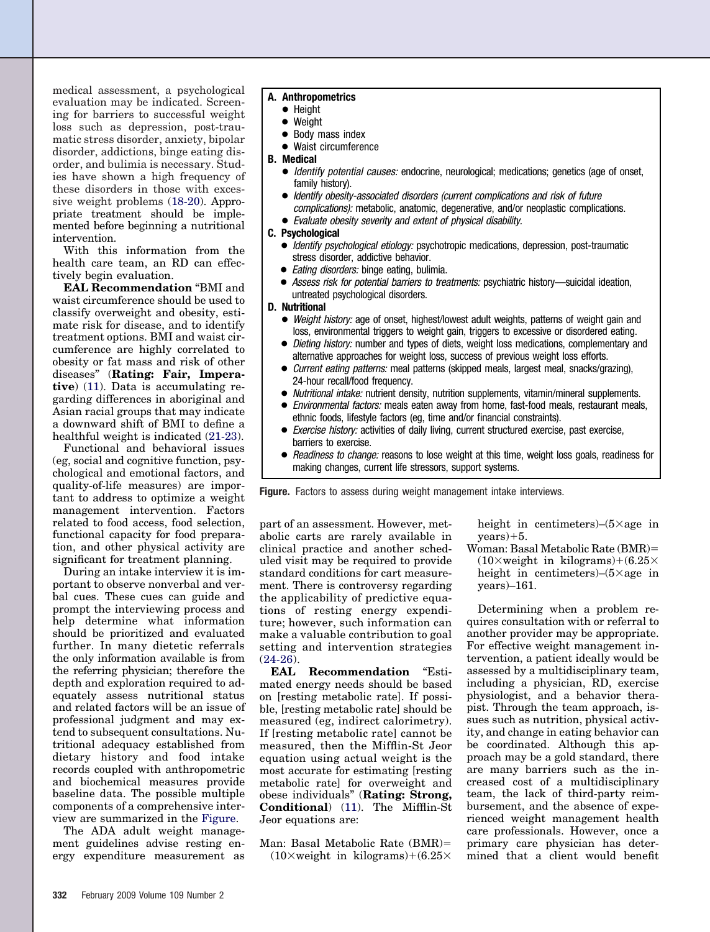medical assessment, a psychological evaluation may be indicated. Screening for barriers to successful weight loss such as depression, post-traumatic stress disorder, anxiety, bipolar disorder, addictions, binge eating disorder, and bulimia is necessary. Studies have shown a high frequency of these disorders in those with excessive weight problems [\(18-20\)](#page-13-0). Appropriate treatment should be implemented before beginning a nutritional intervention.

With this information from the health care team, an RD can effectively begin evaluation.

**EAL Recommendation** "BMI and waist circumference should be used to classify overweight and obesity, estimate risk for disease, and to identify treatment options. BMI and waist circumference are highly correlated to obesity or fat mass and risk of other diseases" (**Rating: Fair, Imperative**) [\(11\)](#page-13-0). Data is accumulating regarding differences in aboriginal and Asian racial groups that may indicate a downward shift of BMI to define a healthful weight is indicated [\(21-23\)](#page-13-0).

Functional and behavioral issues (eg, social and cognitive function, psychological and emotional factors, and quality-of-life measures) are important to address to optimize a weight management intervention. Factors related to food access, food selection, functional capacity for food preparation, and other physical activity are significant for treatment planning.

During an intake interview it is important to observe nonverbal and verbal cues. These cues can guide and prompt the interviewing process and help determine what information should be prioritized and evaluated further. In many dietetic referrals the only information available is from the referring physician; therefore the depth and exploration required to adequately assess nutritional status and related factors will be an issue of professional judgment and may extend to subsequent consultations. Nutritional adequacy established from dietary history and food intake records coupled with anthropometric and biochemical measures provide baseline data. The possible multiple components of a comprehensive interview are summarized in the Figure.

The ADA adult weight management guidelines advise resting energy expenditure measurement as

#### **A. Anthropometrics**

- Height
- Weight
- Body mass index
- Waist circumference

#### **B. Medical**

- Identify potential causes: endocrine, neurological; medications; genetics (age of onset, family history).
- Identify obesity-associated disorders (current complications and risk of future complications): metabolic, anatomic, degenerative, and/or neoplastic complications.
- Evaluate obesity severity and extent of physical disability.

#### **C. Psychological**

- Identify psychological etiology: psychotropic medications, depression, post-traumatic stress disorder, addictive behavior.
- Eating disorders: binge eating, bulimia.
- Assess risk for potential barriers to treatments: psychiatric history—suicidal ideation, untreated psychological disorders.

#### **D. Nutritional**

- Weight history: age of onset, highest/lowest adult weights, patterns of weight gain and loss, environmental triggers to weight gain, triggers to excessive or disordered eating.
- Dieting history: number and types of diets, weight loss medications, complementary and alternative approaches for weight loss, success of previous weight loss efforts.
- Current eating patterns: meal patterns (skipped meals, largest meal, snacks/grazing), 24-hour recall/food frequency.
- Nutritional intake: nutrient density, nutrition supplements, vitamin/mineral supplements.
- *Environmental factors:* meals eaten away from home, fast-food meals, restaurant meals, ethnic foods, lifestyle factors (eg, time and/or financial constraints).
- Exercise history: activities of daily living, current structured exercise, past exercise, barriers to exercise.
- Readiness to change: reasons to lose weight at this time, weight loss goals, readiness for making changes, current life stressors, support systems.

**Figure.** Factors to assess during weight management intake interviews.

part of an assessment. However, metabolic carts are rarely available in clinical practice and another scheduled visit may be required to provide standard conditions for cart measurement. There is controversy regarding the applicability of predictive equations of resting energy expenditure; however, such information can make a valuable contribution to goal setting and intervention strategies  $(24-26)$ .

**EAL Recommendation** "Estimated energy needs should be based on [resting metabolic rate]. If possible, [resting metabolic rate] should be measured (eg, indirect calorimetry). If [resting metabolic rate] cannot be measured, then the Mifflin-St Jeor equation using actual weight is the most accurate for estimating [resting metabolic rate] for overweight and obese individuals" (**Rating: Strong, Conditional**) [\(11\)](#page-13-0). The Mifflin-St Jeor equations are:

Man: Basal Metabolic Rate (BMR)  $(10\times \text{weight in kilograms})+(6.25\times$ 

height in centimeters $)-(5 \times age$  in  $years)+5.$ 

Woman: Basal Metabolic Rate (BMR)  $(10\times \text{weight in kilograms})+(6.25\times$ height in centimeters)– $(5 \times$ age in years)–161.

Determining when a problem requires consultation with or referral to another provider may be appropriate. For effective weight management intervention, a patient ideally would be assessed by a multidisciplinary team, including a physician, RD, exercise physiologist, and a behavior therapist. Through the team approach, issues such as nutrition, physical activity, and change in eating behavior can be coordinated. Although this approach may be a gold standard, there are many barriers such as the increased cost of a multidisciplinary team, the lack of third-party reimbursement, and the absence of experienced weight management health care professionals. However, once a primary care physician has determined that a client would benefit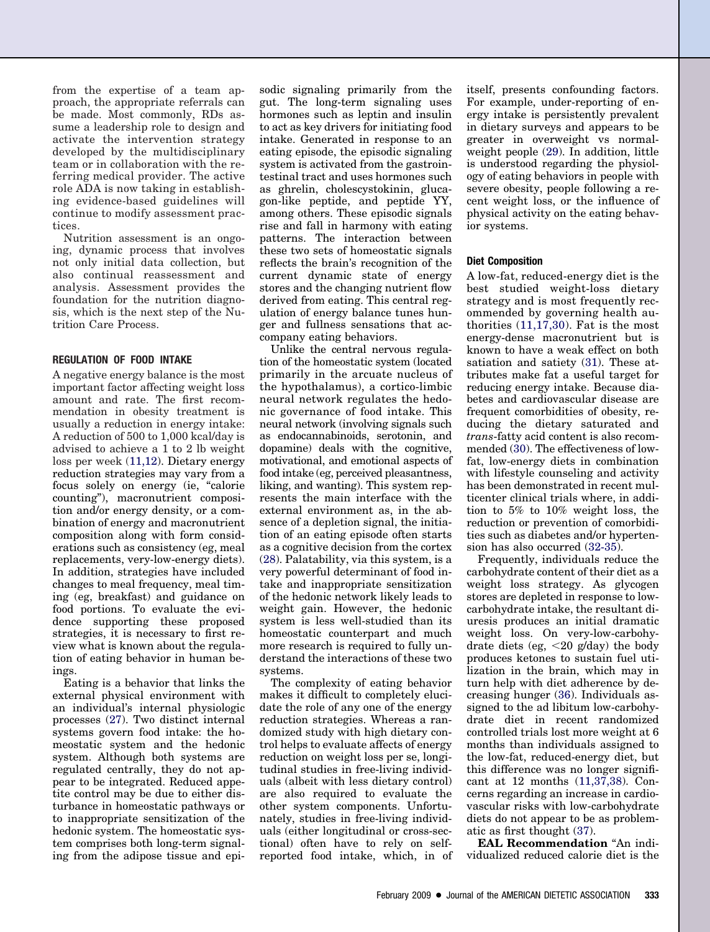from the expertise of a team approach, the appropriate referrals can be made. Most commonly, RDs assume a leadership role to design and activate the intervention strategy developed by the multidisciplinary team or in collaboration with the referring medical provider. The active role ADA is now taking in establishing evidence-based guidelines will continue to modify assessment practices.

Nutrition assessment is an ongoing, dynamic process that involves not only initial data collection, but also continual reassessment and analysis. Assessment provides the foundation for the nutrition diagnosis, which is the next step of the Nutrition Care Process.

#### **REGULATION OF FOOD INTAKE**

A negative energy balance is the most important factor affecting weight loss amount and rate. The first recommendation in obesity treatment is usually a reduction in energy intake: A reduction of 500 to 1,000 kcal/day is advised to achieve a 1 to 2 lb weight loss per week [\(11,12\)](#page-13-0). Dietary energy reduction strategies may vary from a focus solely on energy (ie, "calorie counting"), macronutrient composition and/or energy density, or a combination of energy and macronutrient composition along with form considerations such as consistency (eg, meal replacements, very-low-energy diets). In addition, strategies have included changes to meal frequency, meal timing (eg, breakfast) and guidance on food portions. To evaluate the evidence supporting these proposed strategies, it is necessary to first review what is known about the regulation of eating behavior in human beings.

Eating is a behavior that links the external physical environment with an individual's internal physiologic processes [\(27\)](#page-13-0). Two distinct internal systems govern food intake: the homeostatic system and the hedonic system. Although both systems are regulated centrally, they do not appear to be integrated. Reduced appetite control may be due to either disturbance in homeostatic pathways or to inappropriate sensitization of the hedonic system. The homeostatic system comprises both long-term signaling from the adipose tissue and episodic signaling primarily from the gut. The long-term signaling uses hormones such as leptin and insulin to act as key drivers for initiating food intake. Generated in response to an eating episode, the episodic signaling system is activated from the gastrointestinal tract and uses hormones such as ghrelin, cholescystokinin, glucagon-like peptide, and peptide YY, among others. These episodic signals rise and fall in harmony with eating patterns. The interaction between these two sets of homeostatic signals reflects the brain's recognition of the current dynamic state of energy stores and the changing nutrient flow derived from eating. This central regulation of energy balance tunes hunger and fullness sensations that accompany eating behaviors.

Unlike the central nervous regulation of the homeostatic system (located primarily in the arcuate nucleus of the hypothalamus), a cortico-limbic neural network regulates the hedonic governance of food intake. This neural network (involving signals such as endocannabinoids, serotonin, and dopamine) deals with the cognitive, motivational, and emotional aspects of food intake (eg, perceived pleasantness, liking, and wanting). This system represents the main interface with the external environment as, in the absence of a depletion signal, the initiation of an eating episode often starts as a cognitive decision from the cortex [\(28\)](#page-13-0). Palatability, via this system, is a very powerful determinant of food intake and inappropriate sensitization of the hedonic network likely leads to weight gain. However, the hedonic system is less well-studied than its homeostatic counterpart and much more research is required to fully understand the interactions of these two systems.

The complexity of eating behavior makes it difficult to completely elucidate the role of any one of the energy reduction strategies. Whereas a randomized study with high dietary control helps to evaluate affects of energy reduction on weight loss per se, longitudinal studies in free-living individuals (albeit with less dietary control) are also required to evaluate the other system components. Unfortunately, studies in free-living individuals (either longitudinal or cross-sectional) often have to rely on selfreported food intake, which, in of itself, presents confounding factors. For example, under-reporting of energy intake is persistently prevalent in dietary surveys and appears to be greater in overweight vs normalweight people [\(29\)](#page-13-0). In addition, little is understood regarding the physiology of eating behaviors in people with severe obesity, people following a recent weight loss, or the influence of physical activity on the eating behavior systems.

#### **Diet Composition**

A low-fat, reduced-energy diet is the best studied weight-loss dietary strategy and is most frequently recommended by governing health authorities [\(11,17,30\)](#page-13-0). Fat is the most energy-dense macronutrient but is known to have a weak effect on both satiation and satiety [\(31\)](#page-13-0). These attributes make fat a useful target for reducing energy intake. Because diabetes and cardiovascular disease are frequent comorbidities of obesity, reducing the dietary saturated and *trans*-fatty acid content is also recommended [\(30\)](#page-13-0). The effectiveness of lowfat, low-energy diets in combination with lifestyle counseling and activity has been demonstrated in recent multicenter clinical trials where, in addition to 5% to 10% weight loss, the reduction or prevention of comorbidities such as diabetes and/or hypertension has also occurred [\(32-35\)](#page-13-0).

Frequently, individuals reduce the carbohydrate content of their diet as a weight loss strategy. As glycogen stores are depleted in response to lowcarbohydrate intake, the resultant diuresis produces an initial dramatic weight loss. On very-low-carbohydrate diets (eg,  $\langle 20 \text{ g/day} \rangle$  the body produces ketones to sustain fuel utilization in the brain, which may in turn help with diet adherence by decreasing hunger [\(36\)](#page-13-0). Individuals assigned to the ad libitum low-carbohydrate diet in recent randomized controlled trials lost more weight at 6 months than individuals assigned to the low-fat, reduced-energy diet, but this difference was no longer significant at 12 months [\(11,37,38\)](#page-13-0). Concerns regarding an increase in cardiovascular risks with low-carbohydrate diets do not appear to be as problematic as first thought [\(37\)](#page-13-0).

**EAL Recommendation** "An individualized reduced calorie diet is the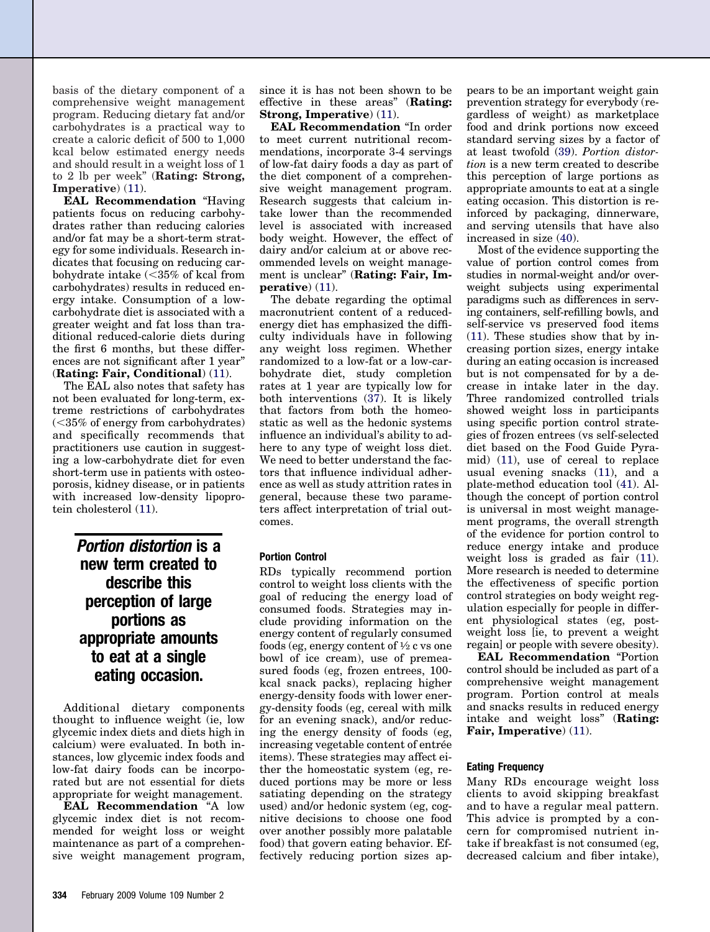basis of the dietary component of a comprehensive weight management program. Reducing dietary fat and/or carbohydrates is a practical way to create a caloric deficit of 500 to 1,000 kcal below estimated energy needs and should result in a weight loss of 1 to 2 lb per week" (**Rating: Strong, Imperative**) [\(11\)](#page-13-0).

**EAL Recommendation** "Having patients focus on reducing carbohydrates rather than reducing calories and/or fat may be a short-term strategy for some individuals. Research indicates that focusing on reducing carbohydrate intake  $\langle$  <35% of kcal from carbohydrates) results in reduced energy intake. Consumption of a lowcarbohydrate diet is associated with a greater weight and fat loss than traditional reduced-calorie diets during the first 6 months, but these differences are not significant after 1 year" (**Rating: Fair, Conditional**) [\(11\)](#page-13-0).

The EAL also notes that safety has not been evaluated for long-term, extreme restrictions of carbohydrates  $(< 35\%$  of energy from carbohydrates) and specifically recommends that practitioners use caution in suggesting a low-carbohydrate diet for even short-term use in patients with osteoporosis, kidney disease, or in patients with increased low-density lipoprotein cholesterol [\(11\)](#page-13-0).

> *Portion distortion* **is a new term created to describe this perception of large portions as appropriate amounts to eat at a single eating occasion.**

Additional dietary components thought to influence weight (ie, low glycemic index diets and diets high in calcium) were evaluated. In both instances, low glycemic index foods and low-fat dairy foods can be incorporated but are not essential for diets appropriate for weight management.

**EAL Recommendation** "A low glycemic index diet is not recommended for weight loss or weight maintenance as part of a comprehensive weight management program, since it is has not been shown to be effective in these areas" (**Rating: Strong, Imperative**) [\(11\)](#page-13-0).

**EAL Recommendation** "In order to meet current nutritional recommendations, incorporate 3-4 servings of low-fat dairy foods a day as part of the diet component of a comprehensive weight management program. Research suggests that calcium intake lower than the recommended level is associated with increased body weight. However, the effect of dairy and/or calcium at or above recommended levels on weight management is unclear" (**Rating: Fair, Imperative**) [\(11\)](#page-13-0).

The debate regarding the optimal macronutrient content of a reducedenergy diet has emphasized the difficulty individuals have in following any weight loss regimen. Whether randomized to a low-fat or a low-carbohydrate diet, study completion rates at 1 year are typically low for both interventions [\(37\)](#page-13-0). It is likely that factors from both the homeostatic as well as the hedonic systems influence an individual's ability to adhere to any type of weight loss diet. We need to better understand the factors that influence individual adherence as well as study attrition rates in general, because these two parameters affect interpretation of trial outcomes.

#### **Portion Control**

RDs typically recommend portion control to weight loss clients with the goal of reducing the energy load of consumed foods. Strategies may include providing information on the energy content of regularly consumed foods (eg, energy content of  $\frac{1}{2}$  c vs one bowl of ice cream), use of premeasured foods (eg, frozen entrees, 100 kcal snack packs), replacing higher energy-density foods with lower energy-density foods (eg, cereal with milk for an evening snack), and/or reducing the energy density of foods (eg, increasing vegetable content of entrée items). These strategies may affect either the homeostatic system (eg, reduced portions may be more or less satiating depending on the strategy used) and/or hedonic system (eg, cognitive decisions to choose one food over another possibly more palatable food) that govern eating behavior. Effectively reducing portion sizes appears to be an important weight gain prevention strategy for everybody (regardless of weight) as marketplace food and drink portions now exceed standard serving sizes by a factor of at least twofold [\(39\)](#page-13-0). *Portion distortion* is a new term created to describe this perception of large portions as appropriate amounts to eat at a single eating occasion. This distortion is reinforced by packaging, dinnerware, and serving utensils that have also increased in size [\(40\)](#page-13-0).

Most of the evidence supporting the value of portion control comes from studies in normal-weight and/or overweight subjects using experimental paradigms such as differences in serving containers, self-refilling bowls, and self-service vs preserved food items [\(11\)](#page-13-0). These studies show that by increasing portion sizes, energy intake during an eating occasion is increased but is not compensated for by a decrease in intake later in the day. Three randomized controlled trials showed weight loss in participants using specific portion control strategies of frozen entrees (vs self-selected diet based on the Food Guide Pyramid) [\(11\)](#page-13-0), use of cereal to replace usual evening snacks [\(11\)](#page-13-0), and a plate-method education tool [\(41\)](#page-13-0). Although the concept of portion control is universal in most weight management programs, the overall strength of the evidence for portion control to reduce energy intake and produce weight loss is graded as fair  $(11)$ . More research is needed to determine the effectiveness of specific portion control strategies on body weight regulation especially for people in different physiological states (eg, postweight loss [ie, to prevent a weight regain] or people with severe obesity).

**EAL Recommendation** "Portion control should be included as part of a comprehensive weight management program. Portion control at meals and snacks results in reduced energy intake and weight loss" (**Rating: Fair, Imperative**) [\(11\)](#page-13-0).

#### **Eating Frequency**

Many RDs encourage weight loss clients to avoid skipping breakfast and to have a regular meal pattern. This advice is prompted by a concern for compromised nutrient intake if breakfast is not consumed (eg, decreased calcium and fiber intake),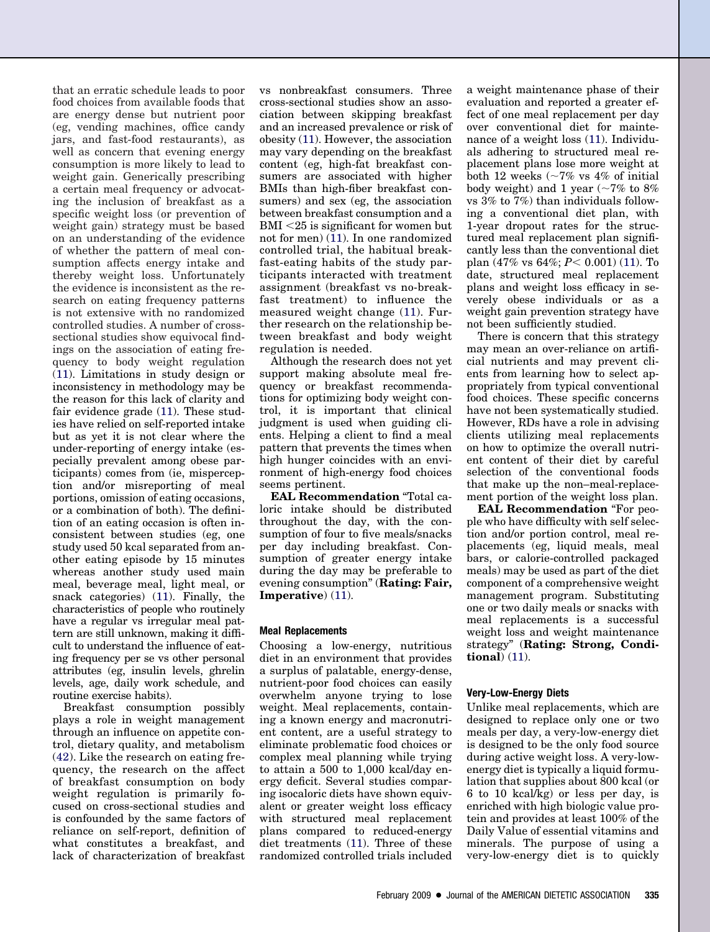that an erratic schedule leads to poor food choices from available foods that are energy dense but nutrient poor (eg, vending machines, office candy jars, and fast-food restaurants), as well as concern that evening energy consumption is more likely to lead to weight gain. Generically prescribing a certain meal frequency or advocating the inclusion of breakfast as a specific weight loss (or prevention of weight gain) strategy must be based on an understanding of the evidence of whether the pattern of meal consumption affects energy intake and thereby weight loss. Unfortunately the evidence is inconsistent as the research on eating frequency patterns is not extensive with no randomized controlled studies. A number of crosssectional studies show equivocal findings on the association of eating frequency to body weight regulation [\(11\)](#page-13-0). Limitations in study design or inconsistency in methodology may be the reason for this lack of clarity and fair evidence grade [\(11\)](#page-13-0). These studies have relied on self-reported intake but as yet it is not clear where the under-reporting of energy intake (especially prevalent among obese participants) comes from (ie, misperception and/or misreporting of meal portions, omission of eating occasions, or a combination of both). The definition of an eating occasion is often inconsistent between studies (eg, one study used 50 kcal separated from another eating episode by 15 minutes whereas another study used main meal, beverage meal, light meal, or snack categories) [\(11\)](#page-13-0). Finally, the characteristics of people who routinely have a regular vs irregular meal pattern are still unknown, making it difficult to understand the influence of eating frequency per se vs other personal attributes (eg, insulin levels, ghrelin levels, age, daily work schedule, and routine exercise habits).

Breakfast consumption possibly plays a role in weight management through an influence on appetite control, dietary quality, and metabolism [\(42\)](#page-13-0). Like the research on eating frequency, the research on the affect of breakfast consumption on body weight regulation is primarily focused on cross-sectional studies and is confounded by the same factors of reliance on self-report, definition of what constitutes a breakfast, and lack of characterization of breakfast

vs nonbreakfast consumers. Three cross-sectional studies show an association between skipping breakfast and an increased prevalence or risk of obesity [\(11\)](#page-13-0). However, the association may vary depending on the breakfast content (eg, high-fat breakfast consumers are associated with higher BMIs than high-fiber breakfast consumers) and sex (eg, the association between breakfast consumption and a  $BMI < 25$  is significant for women but not for men) [\(11\)](#page-13-0). In one randomized controlled trial, the habitual breakfast-eating habits of the study participants interacted with treatment assignment (breakfast vs no-breakfast treatment) to influence the measured weight change [\(11\)](#page-13-0). Further research on the relationship between breakfast and body weight regulation is needed.

Although the research does not yet support making absolute meal frequency or breakfast recommendations for optimizing body weight control, it is important that clinical judgment is used when guiding clients. Helping a client to find a meal pattern that prevents the times when high hunger coincides with an environment of high-energy food choices seems pertinent.

**EAL Recommendation** "Total caloric intake should be distributed throughout the day, with the consumption of four to five meals/snacks per day including breakfast. Consumption of greater energy intake during the day may be preferable to evening consumption" (**Rating: Fair, Imperative**) [\(11\)](#page-13-0).

#### **Meal Replacements**

Choosing a low-energy, nutritious diet in an environment that provides a surplus of palatable, energy-dense, nutrient-poor food choices can easily overwhelm anyone trying to lose weight. Meal replacements, containing a known energy and macronutrient content, are a useful strategy to eliminate problematic food choices or complex meal planning while trying to attain a 500 to 1,000 kcal/day energy deficit. Several studies comparing isocaloric diets have shown equivalent or greater weight loss efficacy with structured meal replacement plans compared to reduced-energy diet treatments [\(11\)](#page-13-0). Three of these randomized controlled trials included

a weight maintenance phase of their evaluation and reported a greater effect of one meal replacement per day over conventional diet for maintenance of a weight loss [\(11\)](#page-13-0). Individuals adhering to structured meal replacement plans lose more weight at both 12 weeks  $\left(\sim 7\% \text{ vs } 4\% \text{ of initial}\right)$ body weight) and 1 year ( $\sim$ 7% to 8% vs 3% to 7%) than individuals following a conventional diet plan, with 1-year dropout rates for the structured meal replacement plan significantly less than the conventional diet plan (47% vs  $64\%$ ;  $P < 0.001$ ) [\(11\)](#page-13-0). To date, structured meal replacement plans and weight loss efficacy in severely obese individuals or as a weight gain prevention strategy have not been sufficiently studied.

There is concern that this strategy may mean an over-reliance on artificial nutrients and may prevent clients from learning how to select appropriately from typical conventional food choices. These specific concerns have not been systematically studied. However, RDs have a role in advising clients utilizing meal replacements on how to optimize the overall nutrient content of their diet by careful selection of the conventional foods that make up the non–meal-replacement portion of the weight loss plan.

**EAL Recommendation** "For people who have difficulty with self selection and/or portion control, meal replacements (eg, liquid meals, meal bars, or calorie-controlled packaged meals) may be used as part of the diet component of a comprehensive weight management program. Substituting one or two daily meals or snacks with meal replacements is a successful weight loss and weight maintenance strategy" (**Rating: Strong, Conditional**) [\(11\)](#page-13-0).

#### **Very-Low-Energy Diets**

Unlike meal replacements, which are designed to replace only one or two meals per day, a very-low-energy diet is designed to be the only food source during active weight loss. A very-lowenergy diet is typically a liquid formulation that supplies about 800 kcal (or 6 to 10 kcal/kg) or less per day, is enriched with high biologic value protein and provides at least 100% of the Daily Value of essential vitamins and minerals. The purpose of using a very-low-energy diet is to quickly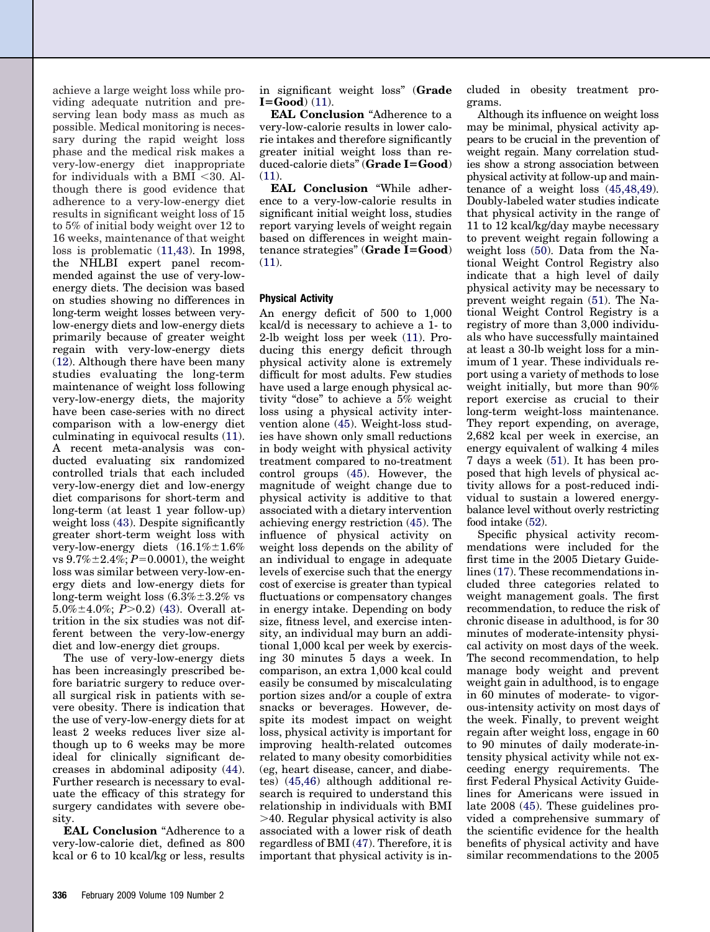achieve a large weight loss while providing adequate nutrition and preserving lean body mass as much as possible. Medical monitoring is necessary during the rapid weight loss phase and the medical risk makes a very-low-energy diet inappropriate for individuals with a BMI  $<$ 30. Although there is good evidence that adherence to a very-low-energy diet results in significant weight loss of 15 to 5% of initial body weight over 12 to 16 weeks, maintenance of that weight loss is problematic [\(11,43\)](#page-13-0). In 1998, the NHLBI expert panel recommended against the use of very-lowenergy diets. The decision was based on studies showing no differences in long-term weight losses between verylow-energy diets and low-energy diets primarily because of greater weight regain with very-low-energy diets [\(12\)](#page-13-0). Although there have been many studies evaluating the long-term maintenance of weight loss following very-low-energy diets, the majority have been case-series with no direct comparison with a low-energy diet culminating in equivocal results [\(11\)](#page-13-0). A recent meta-analysis was conducted evaluating six randomized controlled trials that each included very-low-energy diet and low-energy diet comparisons for short-term and long-term (at least 1 year follow-up) weight loss [\(43\)](#page-14-0). Despite significantly greater short-term weight loss with very-low-energy diets  $(16.1\% \pm 1.6\%)$ vs  $9.7\% \pm 2.4\%; P=0.0001$ , the weight loss was similar between very-low-energy diets and low-energy diets for long-term weight loss  $(6.3\% \pm 3.2\%$  vs  $5.0\% \pm 4.0\%$ ;  $P > 0.2$ ) [\(43\)](#page-14-0). Overall attrition in the six studies was not different between the very-low-energy diet and low-energy diet groups.

The use of very-low-energy diets has been increasingly prescribed before bariatric surgery to reduce overall surgical risk in patients with severe obesity. There is indication that the use of very-low-energy diets for at least 2 weeks reduces liver size although up to 6 weeks may be more ideal for clinically significant decreases in abdominal adiposity [\(44\)](#page-14-0). Further research is necessary to evaluate the efficacy of this strategy for surgery candidates with severe obesity.

**EAL Conclusion** "Adherence to a very-low-calorie diet, defined as 800 kcal or 6 to 10 kcal/kg or less, results in significant weight loss" (**Grade**  $I = Good$ ) [\(11\)](#page-13-0).

**EAL Conclusion** "Adherence to a very-low-calorie results in lower calorie intakes and therefore significantly greater initial weight loss than reduced-calorie diets" (**Grade IGood**)  $(11)$ .

**EAL Conclusion** "While adherence to a very-low-calorie results in significant initial weight loss, studies report varying levels of weight regain based on differences in weight maintenance strategies" (**Grade IGood**) [\(11\)](#page-13-0).

#### **Physical Activity**

An energy deficit of 500 to 1,000 kcal/d is necessary to achieve a 1- to 2-lb weight loss per week [\(11\)](#page-13-0). Producing this energy deficit through physical activity alone is extremely difficult for most adults. Few studies have used a large enough physical activity "dose" to achieve a 5% weight loss using a physical activity intervention alone [\(45\)](#page-14-0). Weight-loss studies have shown only small reductions in body weight with physical activity treatment compared to no-treatment control groups [\(45\)](#page-14-0). However, the magnitude of weight change due to physical activity is additive to that associated with a dietary intervention achieving energy restriction [\(45\)](#page-14-0). The influence of physical activity on weight loss depends on the ability of an individual to engage in adequate levels of exercise such that the energy cost of exercise is greater than typical fluctuations or compensatory changes in energy intake. Depending on body size, fitness level, and exercise intensity, an individual may burn an additional 1,000 kcal per week by exercising 30 minutes 5 days a week. In comparison, an extra 1,000 kcal could easily be consumed by miscalculating portion sizes and/or a couple of extra snacks or beverages. However, despite its modest impact on weight loss, physical activity is important for improving health-related outcomes related to many obesity comorbidities (eg, heart disease, cancer, and diabetes) [\(45,46\)](#page-14-0) although additional research is required to understand this relationship in individuals with BMI 40. Regular physical activity is also associated with a lower risk of death regardless of BMI [\(47\)](#page-14-0). Therefore, it is important that physical activity is included in obesity treatment programs.

Although its influence on weight loss may be minimal, physical activity appears to be crucial in the prevention of weight regain. Many correlation studies show a strong association between physical activity at follow-up and maintenance of a weight loss [\(45,48,49\)](#page-14-0). Doubly-labeled water studies indicate that physical activity in the range of 11 to 12 kcal/kg/day maybe necessary to prevent weight regain following a weight loss [\(50\)](#page-14-0). Data from the National Weight Control Registry also indicate that a high level of daily physical activity may be necessary to prevent weight regain [\(51\)](#page-14-0). The National Weight Control Registry is a registry of more than 3,000 individuals who have successfully maintained at least a 30-lb weight loss for a minimum of 1 year. These individuals report using a variety of methods to lose weight initially, but more than 90% report exercise as crucial to their long-term weight-loss maintenance. They report expending, on average, 2,682 kcal per week in exercise, an energy equivalent of walking 4 miles 7 days a week [\(51\)](#page-14-0). It has been proposed that high levels of physical activity allows for a post-reduced individual to sustain a lowered energybalance level without overly restricting food intake [\(52\)](#page-14-0).

Specific physical activity recommendations were included for the first time in the 2005 Dietary Guidelines [\(17\)](#page-13-0). These recommendations included three categories related to weight management goals. The first recommendation, to reduce the risk of chronic disease in adulthood, is for 30 minutes of moderate-intensity physical activity on most days of the week. The second recommendation, to help manage body weight and prevent weight gain in adulthood, is to engage in 60 minutes of moderate- to vigorous-intensity activity on most days of the week. Finally, to prevent weight regain after weight loss, engage in 60 to 90 minutes of daily moderate-intensity physical activity while not exceeding energy requirements. The first Federal Physical Activity Guidelines for Americans were issued in late 2008 [\(45\)](#page-14-0). These guidelines provided a comprehensive summary of the scientific evidence for the health benefits of physical activity and have similar recommendations to the 2005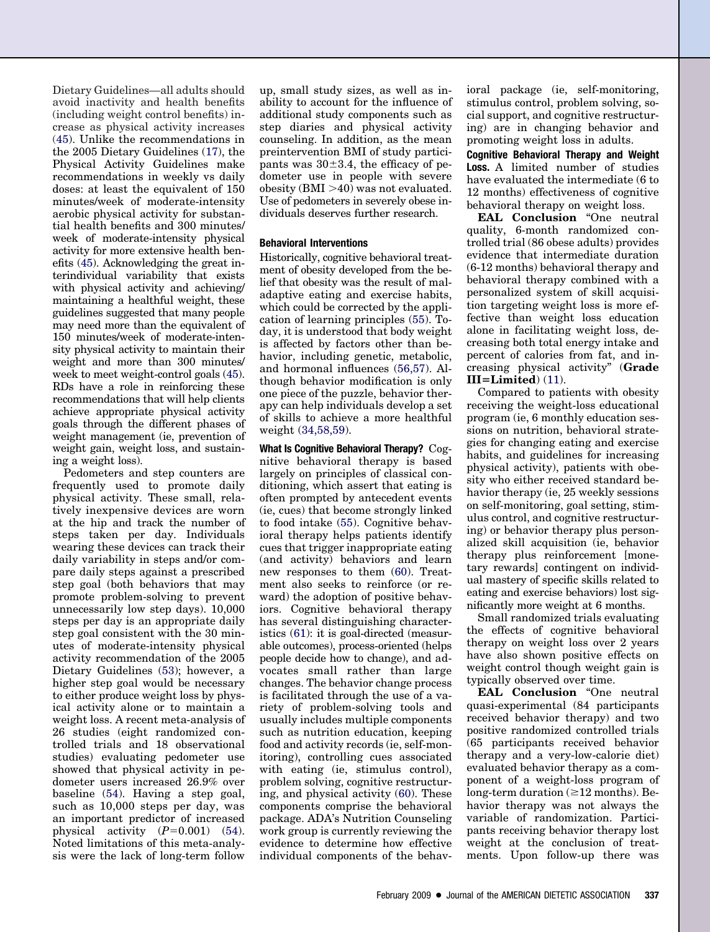Dietary Guidelines—all adults should avoid inactivity and health benefits (including weight control benefits) increase as physical activity increases [\(45\)](#page-14-0). Unlike the recommendations in the 2005 Dietary Guidelines [\(17\)](#page-13-0), the Physical Activity Guidelines make recommendations in weekly vs daily doses: at least the equivalent of 150 minutes/week of moderate-intensity aerobic physical activity for substantial health benefits and 300 minutes/ week of moderate-intensity physical activity for more extensive health benefits [\(45\)](#page-14-0). Acknowledging the great interindividual variability that exists with physical activity and achieving/ maintaining a healthful weight, these guidelines suggested that many people may need more than the equivalent of 150 minutes/week of moderate-intensity physical activity to maintain their weight and more than 300 minutes/ week to meet weight-control goals [\(45\)](#page-14-0). RDs have a role in reinforcing these recommendations that will help clients achieve appropriate physical activity goals through the different phases of weight management (ie, prevention of weight gain, weight loss, and sustaining a weight loss).

Pedometers and step counters are frequently used to promote daily physical activity. These small, relatively inexpensive devices are worn at the hip and track the number of steps taken per day. Individuals wearing these devices can track their daily variability in steps and/or compare daily steps against a prescribed step goal (both behaviors that may promote problem-solving to prevent unnecessarily low step days). 10,000 steps per day is an appropriate daily step goal consistent with the 30 minutes of moderate-intensity physical activity recommendation of the 2005 Dietary Guidelines [\(53\)](#page-14-0); however, a higher step goal would be necessary to either produce weight loss by physical activity alone or to maintain a weight loss. A recent meta-analysis of 26 studies (eight randomized controlled trials and 18 observational studies) evaluating pedometer use showed that physical activity in pedometer users increased 26.9% over baseline [\(54\)](#page-14-0). Having a step goal, such as 10,000 steps per day, was an important predictor of increased physical activity  $(P=0.001)$  [\(54\)](#page-14-0). Noted limitations of this meta-analysis were the lack of long-term follow up, small study sizes, as well as inability to account for the influence of additional study components such as step diaries and physical activity counseling. In addition, as the mean preintervention BMI of study participants was  $30\pm3.4$ , the efficacy of pedometer use in people with severe obesity  $(BMI > 40)$  was not evaluated. Use of pedometers in severely obese individuals deserves further research.

#### **Behavioral Interventions**

Historically, cognitive behavioral treatment of obesity developed from the belief that obesity was the result of maladaptive eating and exercise habits, which could be corrected by the application of learning principles [\(55\)](#page-14-0). Today, it is understood that body weight is affected by factors other than behavior, including genetic, metabolic, and hormonal influences [\(56,57\)](#page-14-0). Although behavior modification is only one piece of the puzzle, behavior therapy can help individuals develop a set of skills to achieve a more healthful weight [\(34,58,59\)](#page-13-0).

**What Is Cognitive Behavioral Therapy?** Cognitive behavioral therapy is based largely on principles of classical conditioning, which assert that eating is often prompted by antecedent events (ie, cues) that become strongly linked to food intake [\(55\)](#page-14-0). Cognitive behavioral therapy helps patients identify cues that trigger inappropriate eating (and activity) behaviors and learn new responses to them [\(60\)](#page-14-0). Treatment also seeks to reinforce (or reward) the adoption of positive behaviors. Cognitive behavioral therapy has several distinguishing characteristics [\(61\)](#page-14-0): it is goal-directed (measurable outcomes), process-oriented (helps people decide how to change), and advocates small rather than large changes. The behavior change process is facilitated through the use of a variety of problem-solving tools and usually includes multiple components such as nutrition education, keeping food and activity records (ie, self-monitoring), controlling cues associated with eating (ie, stimulus control), problem solving, cognitive restructuring, and physical activity [\(60\)](#page-14-0). These components comprise the behavioral package. ADA's Nutrition Counseling work group is currently reviewing the evidence to determine how effective individual components of the behavioral package (ie, self-monitoring, stimulus control, problem solving, social support, and cognitive restructuring) are in changing behavior and promoting weight loss in adults.

**Cognitive Behavioral Therapy and Weight Loss.** A limited number of studies have evaluated the intermediate (6 to 12 months) effectiveness of cognitive behavioral therapy on weight loss.

**EAL Conclusion** "One neutral quality, 6-month randomized controlled trial (86 obese adults) provides evidence that intermediate duration (6-12 months) behavioral therapy and behavioral therapy combined with a personalized system of skill acquisition targeting weight loss is more effective than weight loss education alone in facilitating weight loss, decreasing both total energy intake and percent of calories from fat, and increasing physical activity" (**Grade IIILimited**) [\(11\)](#page-13-0).

Compared to patients with obesity receiving the weight-loss educational program (ie, 6 monthly education sessions on nutrition, behavioral strategies for changing eating and exercise habits, and guidelines for increasing physical activity), patients with obesity who either received standard behavior therapy (ie, 25 weekly sessions on self-monitoring, goal setting, stimulus control, and cognitive restructuring) or behavior therapy plus personalized skill acquisition (ie, behavior therapy plus reinforcement [monetary rewards] contingent on individual mastery of specific skills related to eating and exercise behaviors) lost significantly more weight at 6 months.

Small randomized trials evaluating the effects of cognitive behavioral therapy on weight loss over 2 years have also shown positive effects on weight control though weight gain is typically observed over time.

**EAL Conclusion** "One neutral quasi-experimental (84 participants received behavior therapy) and two positive randomized controlled trials (65 participants received behavior therapy and a very-low-calorie diet) evaluated behavior therapy as a component of a weight-loss program of long-term duration  $(\geq 12$  months). Behavior therapy was not always the variable of randomization. Participants receiving behavior therapy lost weight at the conclusion of treatments. Upon follow-up there was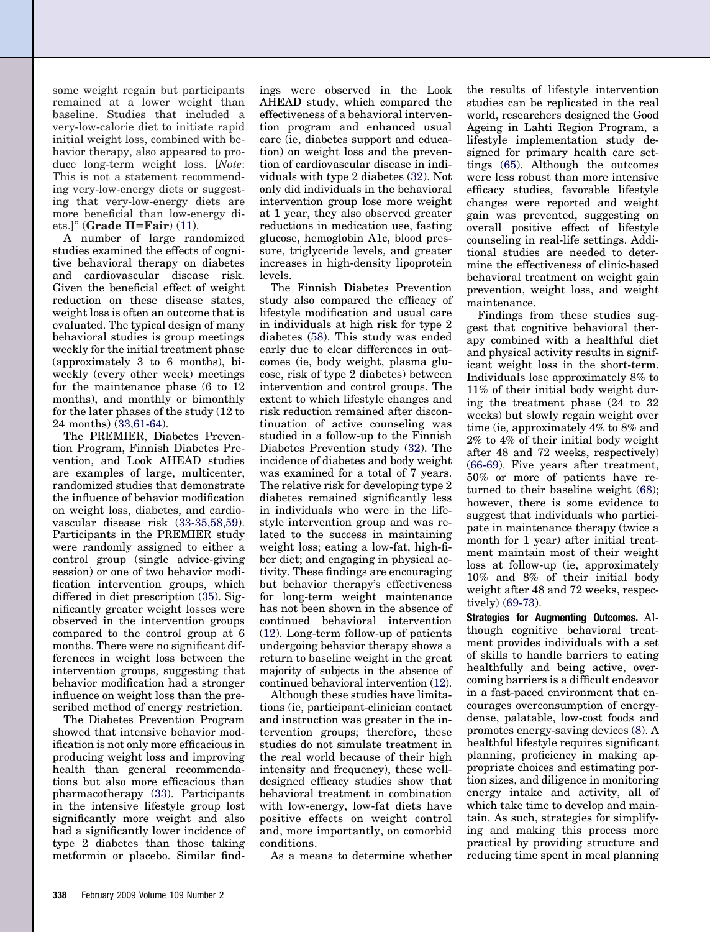some weight regain but participants remained at a lower weight than baseline. Studies that included a very-low-calorie diet to initiate rapid initial weight loss, combined with behavior therapy, also appeared to produce long-term weight loss. [*Note*: This is not a statement recommending very-low-energy diets or suggesting that very-low-energy diets are more beneficial than low-energy diets.]" (**Grade IIFair**) [\(11\)](#page-13-0).

A number of large randomized studies examined the effects of cognitive behavioral therapy on diabetes and cardiovascular disease risk. Given the beneficial effect of weight reduction on these disease states, weight loss is often an outcome that is evaluated. The typical design of many behavioral studies is group meetings weekly for the initial treatment phase (approximately 3 to 6 months), biweekly (every other week) meetings for the maintenance phase (6 to 12 months), and monthly or bimonthly for the later phases of the study (12 to 24 months) [\(33,61-64\)](#page-13-0).

The PREMIER, Diabetes Prevention Program, Finnish Diabetes Prevention, and Look AHEAD studies are examples of large, multicenter, randomized studies that demonstrate the influence of behavior modification on weight loss, diabetes, and cardiovascular disease risk [\(33-35,58,59\)](#page-13-0). Participants in the PREMIER study were randomly assigned to either a control group (single advice-giving session) or one of two behavior modification intervention groups, which differed in diet prescription [\(35\)](#page-13-0). Significantly greater weight losses were observed in the intervention groups compared to the control group at 6 months. There were no significant differences in weight loss between the intervention groups, suggesting that behavior modification had a stronger influence on weight loss than the prescribed method of energy restriction.

The Diabetes Prevention Program showed that intensive behavior modification is not only more efficacious in producing weight loss and improving health than general recommendations but also more efficacious than pharmacotherapy [\(33\)](#page-13-0). Participants in the intensive lifestyle group lost significantly more weight and also had a significantly lower incidence of type 2 diabetes than those taking metformin or placebo. Similar findings were observed in the Look AHEAD study, which compared the effectiveness of a behavioral intervention program and enhanced usual care (ie, diabetes support and education) on weight loss and the prevention of cardiovascular disease in individuals with type 2 diabetes [\(32\)](#page-13-0). Not only did individuals in the behavioral intervention group lose more weight at 1 year, they also observed greater reductions in medication use, fasting glucose, hemoglobin A1c, blood pressure, triglyceride levels, and greater increases in high-density lipoprotein levels.

The Finnish Diabetes Prevention study also compared the efficacy of lifestyle modification and usual care in individuals at high risk for type 2 diabetes [\(58\)](#page-14-0). This study was ended early due to clear differences in outcomes (ie, body weight, plasma glucose, risk of type 2 diabetes) between intervention and control groups. The extent to which lifestyle changes and risk reduction remained after discontinuation of active counseling was studied in a follow-up to the Finnish Diabetes Prevention study [\(32\)](#page-13-0). The incidence of diabetes and body weight was examined for a total of 7 years. The relative risk for developing type 2 diabetes remained significantly less in individuals who were in the lifestyle intervention group and was related to the success in maintaining weight loss; eating a low-fat, high-fiber diet; and engaging in physical activity. These findings are encouraging but behavior therapy's effectiveness for long-term weight maintenance has not been shown in the absence of continued behavioral intervention [\(12\)](#page-13-0). Long-term follow-up of patients undergoing behavior therapy shows a return to baseline weight in the great majority of subjects in the absence of continued behavioral intervention [\(12\)](#page-13-0).

Although these studies have limitations (ie, participant-clinician contact and instruction was greater in the intervention groups; therefore, these studies do not simulate treatment in the real world because of their high intensity and frequency), these welldesigned efficacy studies show that behavioral treatment in combination with low-energy, low-fat diets have positive effects on weight control and, more importantly, on comorbid conditions.

As a means to determine whether

the results of lifestyle intervention studies can be replicated in the real world, researchers designed the Good Ageing in Lahti Region Program, a lifestyle implementation study designed for primary health care settings [\(65\)](#page-14-0). Although the outcomes were less robust than more intensive efficacy studies, favorable lifestyle changes were reported and weight gain was prevented, suggesting on overall positive effect of lifestyle counseling in real-life settings. Additional studies are needed to determine the effectiveness of clinic-based behavioral treatment on weight gain prevention, weight loss, and weight maintenance.

Findings from these studies suggest that cognitive behavioral therapy combined with a healthful diet and physical activity results in significant weight loss in the short-term. Individuals lose approximately 8% to 11% of their initial body weight during the treatment phase (24 to 32 weeks) but slowly regain weight over time (ie, approximately 4% to 8% and 2% to 4% of their initial body weight after 48 and 72 weeks, respectively) [\(66-69\)](#page-14-0). Five years after treatment, 50% or more of patients have returned to their baseline weight [\(68\)](#page-14-0); however, there is some evidence to suggest that individuals who participate in maintenance therapy (twice a month for 1 year) after initial treatment maintain most of their weight loss at follow-up (ie, approximately 10% and 8% of their initial body weight after 48 and 72 weeks, respectively) [\(69-73\)](#page-14-0).

**Strategies for Augmenting Outcomes.** Although cognitive behavioral treatment provides individuals with a set of skills to handle barriers to eating healthfully and being active, overcoming barriers is a difficult endeavor in a fast-paced environment that encourages overconsumption of energydense, palatable, low-cost foods and promotes energy-saving devices [\(8\)](#page-13-0). A healthful lifestyle requires significant planning, proficiency in making appropriate choices and estimating portion sizes, and diligence in monitoring energy intake and activity, all of which take time to develop and maintain. As such, strategies for simplifying and making this process more practical by providing structure and reducing time spent in meal planning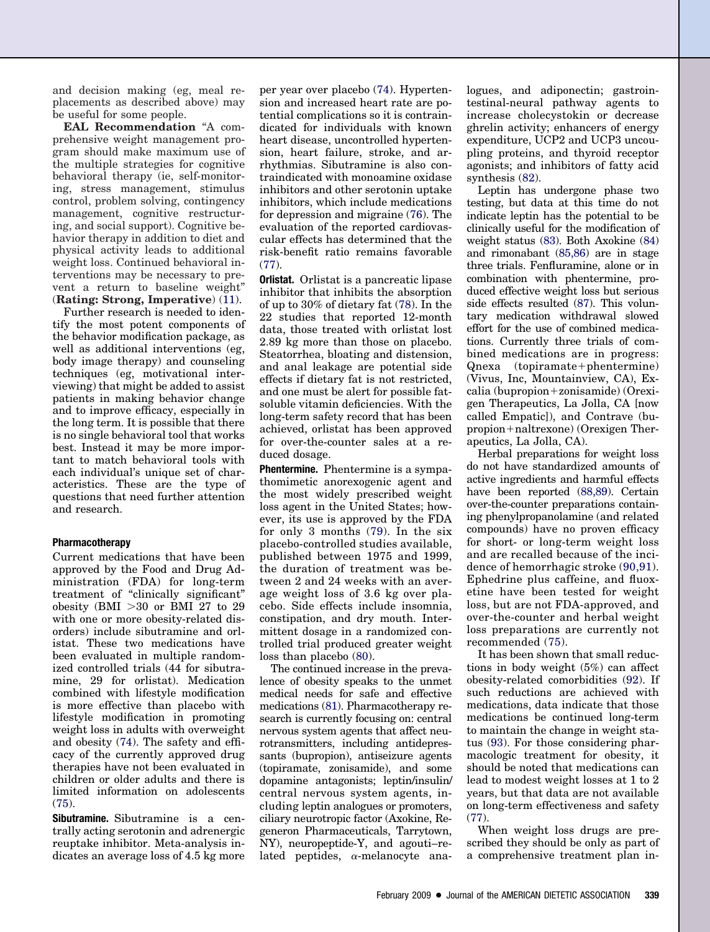and decision making (eg, meal replacements as described above) may be useful for some people.

**EAL Recommendation** "A comprehensive weight management program should make maximum use of the multiple strategies for cognitive behavioral therapy (ie, self-monitoring, stress management, stimulus control, problem solving, contingency management, cognitive restructuring, and social support). Cognitive behavior therapy in addition to diet and physical activity leads to additional weight loss. Continued behavioral interventions may be necessary to prevent a return to baseline weight" (**Rating: Strong, Imperative**) [\(11\)](#page-13-0).

Further research is needed to identify the most potent components of the behavior modification package, as well as additional interventions (eg, body image therapy) and counseling techniques (eg, motivational interviewing) that might be added to assist patients in making behavior change and to improve efficacy, especially in the long term. It is possible that there is no single behavioral tool that works best. Instead it may be more important to match behavioral tools with each individual's unique set of characteristics. These are the type of questions that need further attention and research.

#### **Pharmacotherapy**

Current medications that have been approved by the Food and Drug Administration (FDA) for long-term treatment of "clinically significant" obesity (BMI  $>30$  or BMI 27 to 29 with one or more obesity-related disorders) include sibutramine and orlistat. These two medications have been evaluated in multiple randomized controlled trials (44 for sibutramine, 29 for orlistat). Medication combined with lifestyle modification is more effective than placebo with lifestyle modification in promoting weight loss in adults with overweight and obesity [\(74\)](#page-14-0). The safety and efficacy of the currently approved drug therapies have not been evaluated in children or older adults and there is limited information on adolescents  $(75)$ .

**Sibutramine.** Sibutramine is a centrally acting serotonin and adrenergic reuptake inhibitor. Meta-analysis indicates an average loss of 4.5 kg more per year over placebo [\(74\)](#page-14-0). Hypertension and increased heart rate are potential complications so it is contraindicated for individuals with known heart disease, uncontrolled hypertension, heart failure, stroke, and arrhythmias. Sibutramine is also contraindicated with monoamine oxidase inhibitors and other serotonin uptake inhibitors, which include medications for depression and migraine [\(76\)](#page-14-0). The evaluation of the reported cardiovascular effects has determined that the risk-benefit ratio remains favorable  $(77)$ 

**Orlistat.** Orlistat is a pancreatic lipase inhibitor that inhibits the absorption of up to 30% of dietary fat [\(78\)](#page-14-0). In the 22 studies that reported 12-month data, those treated with orlistat lost 2.89 kg more than those on placebo. Steatorrhea, bloating and distension, and anal leakage are potential side effects if dietary fat is not restricted, and one must be alert for possible fatsoluble vitamin deficiencies. With the long-term safety record that has been achieved, orlistat has been approved for over-the-counter sales at a reduced dosage.

**Phentermine.** Phentermine is a sympathomimetic anorexogenic agent and the most widely prescribed weight loss agent in the United States; however, its use is approved by the FDA for only 3 months [\(79\)](#page-14-0). In the six placebo-controlled studies available, published between 1975 and 1999, the duration of treatment was between 2 and 24 weeks with an average weight loss of 3.6 kg over placebo. Side effects include insomnia, constipation, and dry mouth. Intermittent dosage in a randomized controlled trial produced greater weight loss than placebo [\(80\)](#page-14-0).

The continued increase in the prevalence of obesity speaks to the unmet medical needs for safe and effective medications [\(81\)](#page-14-0). Pharmacotherapy research is currently focusing on: central nervous system agents that affect neurotransmitters, including antidepressants (bupropion), antiseizure agents (topiramate, zonisamide), and some dopamine antagonists; leptin/insulin/ central nervous system agents, including leptin analogues or promoters, ciliary neurotropic factor (Axokine, Regeneron Pharmaceuticals, Tarrytown, NY), neuropeptide-Y, and agouti–related peptides,  $\alpha$ -melanocyte analogues, and adiponectin; gastrointestinal-neural pathway agents to increase cholecystokin or decrease ghrelin activity; enhancers of energy expenditure, UCP2 and UCP3 uncoupling proteins, and thyroid receptor agonists; and inhibitors of fatty acid synthesis [\(82\)](#page-14-0).

Leptin has undergone phase two testing, but data at this time do not indicate leptin has the potential to be clinically useful for the modification of weight status [\(83\)](#page-14-0). Both Axokine [\(84\)](#page-14-0) and rimonabant [\(85,86\)](#page-14-0) are in stage three trials. Fenfluramine, alone or in combination with phentermine, produced effective weight loss but serious side effects resulted [\(87\)](#page-15-0). This voluntary medication withdrawal slowed effort for the use of combined medications. Currently three trials of combined medications are in progress:  $Q$ nexa (topiramate+phentermine) (Vivus, Inc, Mountainview, CA), Ex $calia (bupropion+zonisamide) (Orexi$ gen Therapeutics, La Jolla, CA [now called Empatic]), and Contrave (bu $propion + nalt$ rexone) (Orexigen Therapeutics, La Jolla, CA).

Herbal preparations for weight loss do not have standardized amounts of active ingredients and harmful effects have been reported [\(88,89\)](#page-15-0). Certain over-the-counter preparations containing phenylpropanolamine (and related compounds) have no proven efficacy for short- or long-term weight loss and are recalled because of the incidence of hemorrhagic stroke [\(90,91\)](#page-15-0). Ephedrine plus caffeine, and fluoxetine have been tested for weight loss, but are not FDA-approved, and over-the-counter and herbal weight loss preparations are currently not recommended [\(75\)](#page-14-0).

It has been shown that small reductions in body weight (5%) can affect obesity-related comorbidities [\(92\)](#page-15-0). If such reductions are achieved with medications, data indicate that those medications be continued long-term to maintain the change in weight status [\(93\)](#page-15-0). For those considering pharmacologic treatment for obesity, it should be noted that medications can lead to modest weight losses at 1 to 2 years, but that data are not available on long-term effectiveness and safety [\(77\)](#page-14-0).

When weight loss drugs are prescribed they should be only as part of a comprehensive treatment plan in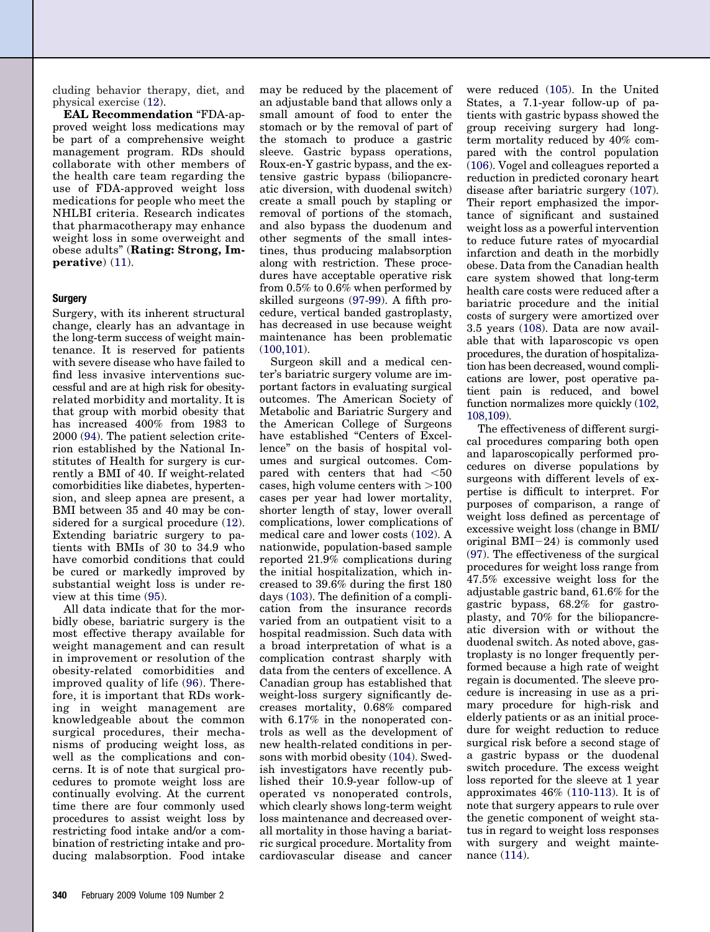cluding behavior therapy, diet, and physical exercise [\(12\)](#page-13-0).

**EAL Recommendation** "FDA-approved weight loss medications may be part of a comprehensive weight management program. RDs should collaborate with other members of the health care team regarding the use of FDA-approved weight loss medications for people who meet the NHLBI criteria. Research indicates that pharmacotherapy may enhance weight loss in some overweight and obese adults" (**Rating: Strong, Imperative**) [\(11\)](#page-13-0).

#### **Surgery**

Surgery, with its inherent structural change, clearly has an advantage in the long-term success of weight maintenance. It is reserved for patients with severe disease who have failed to find less invasive interventions successful and are at high risk for obesityrelated morbidity and mortality. It is that group with morbid obesity that has increased 400% from 1983 to 2000 [\(94\)](#page-15-0). The patient selection criterion established by the National Institutes of Health for surgery is currently a BMI of 40. If weight-related comorbidities like diabetes, hypertension, and sleep apnea are present, a BMI between 35 and 40 may be considered for a surgical procedure [\(12\)](#page-13-0). Extending bariatric surgery to patients with BMIs of 30 to 34.9 who have comorbid conditions that could be cured or markedly improved by substantial weight loss is under review at this time [\(95\)](#page-15-0).

All data indicate that for the morbidly obese, bariatric surgery is the most effective therapy available for weight management and can result in improvement or resolution of the obesity-related comorbidities and improved quality of life [\(96\)](#page-15-0). Therefore, it is important that RDs working in weight management are knowledgeable about the common surgical procedures, their mechanisms of producing weight loss, as well as the complications and concerns. It is of note that surgical procedures to promote weight loss are continually evolving. At the current time there are four commonly used procedures to assist weight loss by restricting food intake and/or a combination of restricting intake and producing malabsorption. Food intake may be reduced by the placement of an adjustable band that allows only a small amount of food to enter the stomach or by the removal of part of the stomach to produce a gastric sleeve. Gastric bypass operations, Roux-en-Y gastric bypass, and the extensive gastric bypass (biliopancreatic diversion, with duodenal switch) create a small pouch by stapling or removal of portions of the stomach, and also bypass the duodenum and other segments of the small intestines, thus producing malabsorption along with restriction. These procedures have acceptable operative risk from 0.5% to 0.6% when performed by skilled surgeons [\(97-99\)](#page-15-0). A fifth procedure, vertical banded gastroplasty, has decreased in use because weight maintenance has been problematic [\(100,101\)](#page-15-0).

Surgeon skill and a medical center's bariatric surgery volume are important factors in evaluating surgical outcomes. The American Society of Metabolic and Bariatric Surgery and the American College of Surgeons have established "Centers of Excellence" on the basis of hospital volumes and surgical outcomes. Compared with centers that had <50 cases, high volume centers with  $>100$ cases per year had lower mortality, shorter length of stay, lower overall complications, lower complications of medical care and lower costs [\(102\)](#page-15-0). A nationwide, population-based sample reported 21.9% complications during the initial hospitalization, which increased to 39.6% during the first 180 days [\(103\)](#page-15-0). The definition of a complication from the insurance records varied from an outpatient visit to a hospital readmission. Such data with a broad interpretation of what is a complication contrast sharply with data from the centers of excellence. A Canadian group has established that weight-loss surgery significantly decreases mortality, 0.68% compared with 6.17% in the nonoperated controls as well as the development of new health-related conditions in persons with morbid obesity [\(104\)](#page-15-0). Swedish investigators have recently published their 10.9-year follow-up of operated vs nonoperated controls, which clearly shows long-term weight loss maintenance and decreased overall mortality in those having a bariatric surgical procedure. Mortality from cardiovascular disease and cancer

were reduced [\(105\)](#page-15-0). In the United States, a 7.1-year follow-up of patients with gastric bypass showed the group receiving surgery had longterm mortality reduced by 40% compared with the control population [\(106\)](#page-15-0). Vogel and colleagues reported a reduction in predicted coronary heart disease after bariatric surgery [\(107\)](#page-15-0). Their report emphasized the importance of significant and sustained weight loss as a powerful intervention to reduce future rates of myocardial infarction and death in the morbidly obese. Data from the Canadian health care system showed that long-term health care costs were reduced after a bariatric procedure and the initial costs of surgery were amortized over 3.5 years [\(108\)](#page-15-0). Data are now available that with laparoscopic vs open procedures, the duration of hospitalization has been decreased, wound complications are lower, post operative patient pain is reduced, and bowel function normalizes more quickly [\(102,](#page-15-0) [108,109\)](#page-15-0).

The effectiveness of different surgical procedures comparing both open and laparoscopically performed procedures on diverse populations by surgeons with different levels of expertise is difficult to interpret. For purposes of comparison, a range of weight loss defined as percentage of excessive weight loss (change in BMI/ original  $BMI-24$ ) is commonly used [\(97\)](#page-15-0). The effectiveness of the surgical procedures for weight loss range from 47.5% excessive weight loss for the adjustable gastric band, 61.6% for the gastric bypass, 68.2% for gastroplasty, and 70% for the biliopancreatic diversion with or without the duodenal switch. As noted above, gastroplasty is no longer frequently performed because a high rate of weight regain is documented. The sleeve procedure is increasing in use as a primary procedure for high-risk and elderly patients or as an initial procedure for weight reduction to reduce surgical risk before a second stage of a gastric bypass or the duodenal switch procedure. The excess weight loss reported for the sleeve at 1 year approximates 46% [\(110-113\)](#page-15-0). It is of note that surgery appears to rule over the genetic component of weight status in regard to weight loss responses with surgery and weight maintenance [\(114\)](#page-15-0).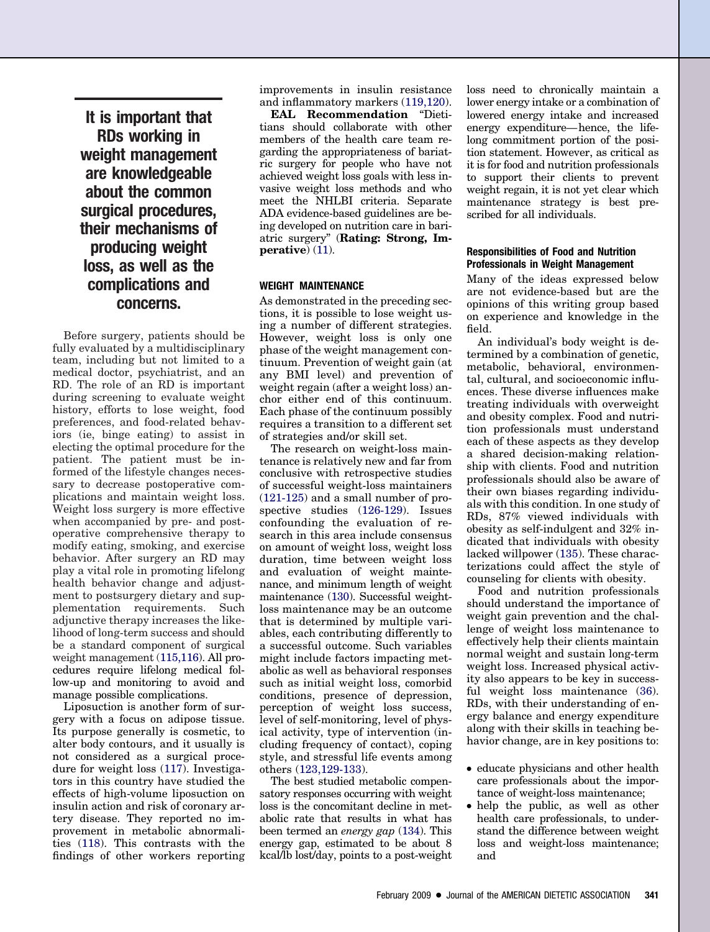**It is important that RDs working in weight management are knowledgeable about the common surgical procedures, their mechanisms of producing weight loss, as well as the complications and concerns.**

Before surgery, patients should be fully evaluated by a multidisciplinary team, including but not limited to a medical doctor, psychiatrist, and an RD. The role of an RD is important during screening to evaluate weight history, efforts to lose weight, food preferences, and food-related behaviors (ie, binge eating) to assist in electing the optimal procedure for the patient. The patient must be informed of the lifestyle changes necessary to decrease postoperative complications and maintain weight loss. Weight loss surgery is more effective when accompanied by pre- and postoperative comprehensive therapy to modify eating, smoking, and exercise behavior. After surgery an RD may play a vital role in promoting lifelong health behavior change and adjustment to postsurgery dietary and supplementation requirements. Such adjunctive therapy increases the likelihood of long-term success and should be a standard component of surgical weight management [\(115,116\)](#page-15-0). All procedures require lifelong medical follow-up and monitoring to avoid and manage possible complications.

Liposuction is another form of surgery with a focus on adipose tissue. Its purpose generally is cosmetic, to alter body contours, and it usually is not considered as a surgical procedure for weight loss [\(117\)](#page-15-0). Investigators in this country have studied the effects of high-volume liposuction on insulin action and risk of coronary artery disease. They reported no improvement in metabolic abnormalities [\(118\)](#page-15-0). This contrasts with the findings of other workers reporting

improvements in insulin resistance and inflammatory markers [\(119,120\)](#page-15-0).

**EAL Recommendation** "Dietitians should collaborate with other members of the health care team regarding the appropriateness of bariatric surgery for people who have not achieved weight loss goals with less invasive weight loss methods and who meet the NHLBI criteria. Separate ADA evidence-based guidelines are being developed on nutrition care in bariatric surgery" (**Rating: Strong, Imperative**) [\(11\)](#page-13-0).

#### **WEIGHT MAINTENANCE**

As demonstrated in the preceding sections, it is possible to lose weight using a number of different strategies. However, weight loss is only one phase of the weight management continuum. Prevention of weight gain (at any BMI level) and prevention of weight regain (after a weight loss) anchor either end of this continuum. Each phase of the continuum possibly requires a transition to a different set of strategies and/or skill set.

The research on weight-loss maintenance is relatively new and far from conclusive with retrospective studies of successful weight-loss maintainers [\(121-125\)](#page-15-0) and a small number of prospective studies [\(126-129\)](#page-15-0). Issues confounding the evaluation of research in this area include consensus on amount of weight loss, weight loss duration, time between weight loss and evaluation of weight maintenance, and minimum length of weight maintenance [\(130\)](#page-15-0). Successful weightloss maintenance may be an outcome that is determined by multiple variables, each contributing differently to a successful outcome. Such variables might include factors impacting metabolic as well as behavioral responses such as initial weight loss, comorbid conditions, presence of depression, perception of weight loss success, level of self-monitoring, level of physical activity, type of intervention (including frequency of contact), coping style, and stressful life events among others [\(123,129-133\)](#page-15-0).

The best studied metabolic compensatory responses occurring with weight loss is the concomitant decline in metabolic rate that results in what has been termed an *energy gap* [\(134\)](#page-16-0). This energy gap, estimated to be about 8 kcal/lb lost/day, points to a post-weight

loss need to chronically maintain a lower energy intake or a combination of lowered energy intake and increased energy expenditure—hence, the lifelong commitment portion of the position statement. However, as critical as it is for food and nutrition professionals to support their clients to prevent weight regain, it is not yet clear which maintenance strategy is best prescribed for all individuals.

#### **Responsibilities of Food and Nutrition Professionals in Weight Management**

Many of the ideas expressed below are not evidence-based but are the opinions of this writing group based on experience and knowledge in the field.

An individual's body weight is determined by a combination of genetic, metabolic, behavioral, environmental, cultural, and socioeconomic influences. These diverse influences make treating individuals with overweight and obesity complex. Food and nutrition professionals must understand each of these aspects as they develop a shared decision-making relationship with clients. Food and nutrition professionals should also be aware of their own biases regarding individuals with this condition. In one study of RDs, 87% viewed individuals with obesity as self-indulgent and 32% indicated that individuals with obesity lacked willpower [\(135\)](#page-16-0). These characterizations could affect the style of counseling for clients with obesity.

Food and nutrition professionals should understand the importance of weight gain prevention and the challenge of weight loss maintenance to effectively help their clients maintain normal weight and sustain long-term weight loss. Increased physical activity also appears to be key in successful weight loss maintenance [\(36\)](#page-13-0). RDs, with their understanding of energy balance and energy expenditure along with their skills in teaching behavior change, are in key positions to:

- educate physicians and other health care professionals about the importance of weight-loss maintenance;
- help the public, as well as other health care professionals, to understand the difference between weight loss and weight-loss maintenance; and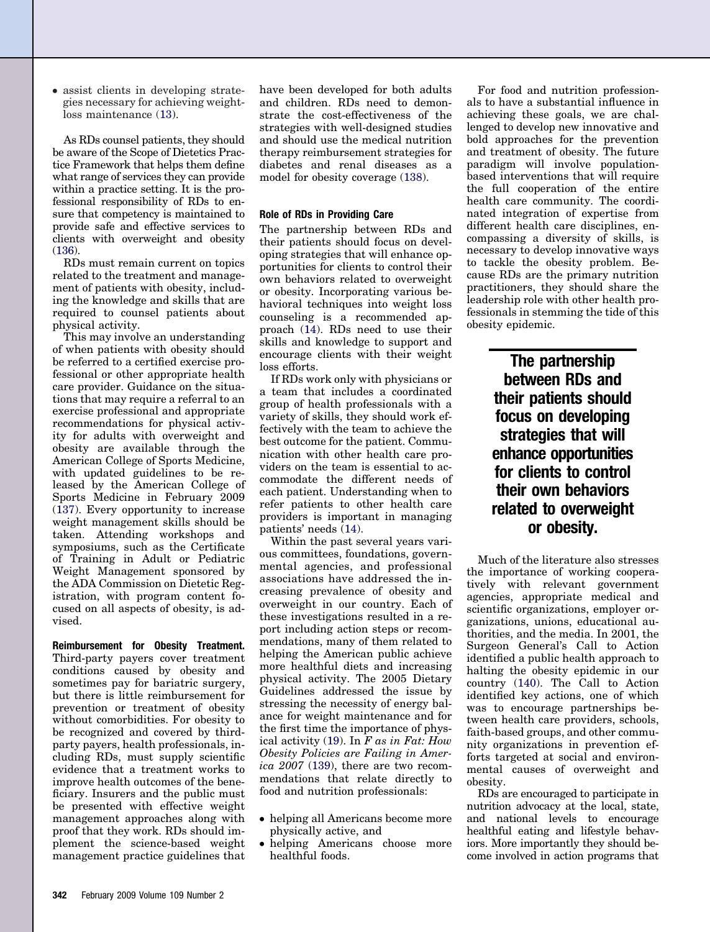• assist clients in developing strategies necessary for achieving weightloss maintenance [\(13\)](#page-13-0).

As RDs counsel patients, they should be aware of the Scope of Dietetics Practice Framework that helps them define what range of services they can provide within a practice setting. It is the professional responsibility of RDs to ensure that competency is maintained to provide safe and effective services to clients with overweight and obesity [\(136\)](#page-16-0).

RDs must remain current on topics related to the treatment and management of patients with obesity, including the knowledge and skills that are required to counsel patients about physical activity.

This may involve an understanding of when patients with obesity should be referred to a certified exercise professional or other appropriate health care provider. Guidance on the situations that may require a referral to an exercise professional and appropriate recommendations for physical activity for adults with overweight and obesity are available through the American College of Sports Medicine, with updated guidelines to be released by the American College of Sports Medicine in February 2009 [\(137\)](#page-16-0). Every opportunity to increase weight management skills should be taken. Attending workshops and symposiums, such as the Certificate of Training in Adult or Pediatric Weight Management sponsored by the ADA Commission on Dietetic Registration, with program content focused on all aspects of obesity, is advised.

**Reimbursement for Obesity Treatment.** Third-party payers cover treatment conditions caused by obesity and sometimes pay for bariatric surgery, but there is little reimbursement for prevention or treatment of obesity without comorbidities. For obesity to be recognized and covered by thirdparty payers, health professionals, including RDs, must supply scientific evidence that a treatment works to improve health outcomes of the beneficiary. Insurers and the public must be presented with effective weight management approaches along with proof that they work. RDs should implement the science-based weight management practice guidelines that

have been developed for both adults and children. RDs need to demonstrate the cost-effectiveness of the strategies with well-designed studies and should use the medical nutrition therapy reimbursement strategies for diabetes and renal diseases as a model for obesity coverage [\(138\)](#page-16-0).

#### **Role of RDs in Providing Care**

The partnership between RDs and their patients should focus on developing strategies that will enhance opportunities for clients to control their own behaviors related to overweight or obesity. Incorporating various behavioral techniques into weight loss counseling is a recommended approach [\(14\)](#page-13-0). RDs need to use their skills and knowledge to support and encourage clients with their weight loss efforts.

If RDs work only with physicians or a team that includes a coordinated group of health professionals with a variety of skills, they should work effectively with the team to achieve the best outcome for the patient. Communication with other health care providers on the team is essential to accommodate the different needs of each patient. Understanding when to refer patients to other health care providers is important in managing patients' needs [\(14\)](#page-13-0).

Within the past several years various committees, foundations, governmental agencies, and professional associations have addressed the increasing prevalence of obesity and overweight in our country. Each of these investigations resulted in a report including action steps or recommendations, many of them related to helping the American public achieve more healthful diets and increasing physical activity. The 2005 Dietary Guidelines addressed the issue by stressing the necessity of energy balance for weight maintenance and for the first time the importance of physical activity [\(19\)](#page-13-0). In *F as in Fat: How Obesity Policies are Failing in America 2007* [\(139\)](#page-16-0), there are two recommendations that relate directly to food and nutrition professionals:

- helping all Americans become more physically active, and
- helping Americans choose more healthful foods.

For food and nutrition professionals to have a substantial influence in achieving these goals, we are challenged to develop new innovative and bold approaches for the prevention and treatment of obesity. The future paradigm will involve populationbased interventions that will require the full cooperation of the entire health care community. The coordinated integration of expertise from different health care disciplines, encompassing a diversity of skills, is necessary to develop innovative ways to tackle the obesity problem. Because RDs are the primary nutrition practitioners, they should share the leadership role with other health professionals in stemming the tide of this obesity epidemic.

> **The partnership between RDs and their patients should focus on developing strategies that will enhance opportunities for clients to control their own behaviors related to overweight or obesity.**

Much of the literature also stresses the importance of working cooperatively with relevant government agencies, appropriate medical and scientific organizations, employer organizations, unions, educational authorities, and the media. In 2001, the Surgeon General's Call to Action identified a public health approach to halting the obesity epidemic in our country [\(140\)](#page-16-0). The Call to Action identified key actions, one of which was to encourage partnerships between health care providers, schools, faith-based groups, and other community organizations in prevention efforts targeted at social and environmental causes of overweight and obesity.

RDs are encouraged to participate in nutrition advocacy at the local, state, and national levels to encourage healthful eating and lifestyle behaviors. More importantly they should become involved in action programs that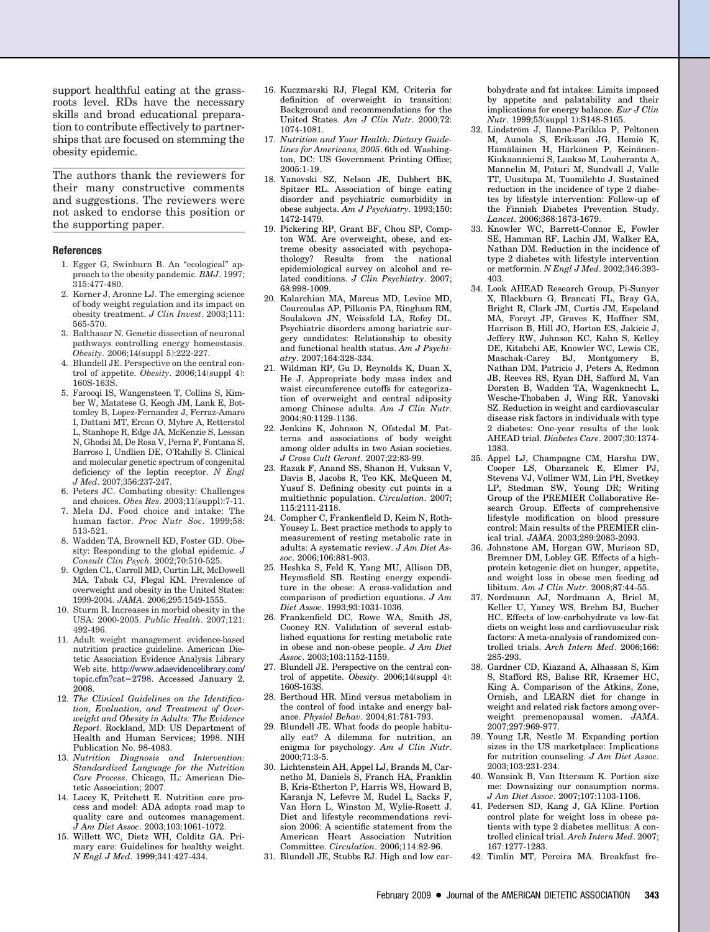<span id="page-13-0"></span>support healthful eating at the grassroots level. RDs have the necessary skills and broad educational preparation to contribute effectively to partnerships that are focused on stemming the obesity epidemic.

The authors thank the reviewers for their many constructive comments and suggestions. The reviewers were not asked to endorse this position or the supporting paper.

#### **References**

- 1. Egger G, Swinburn B. An "ecological" approach to the obesity pandemic. *BMJ*. 1997; 315:477-480.
- 2. Korner J, Aronne LJ. The emerging science of body weight regulation and its impact on obesity treatment. *J Clin Invest*. 2003;111: 565-570.
- 3. Balthasar N. Genetic dissection of neuronal pathways controlling energy homeostasis. *Obesity*. 2006;14(suppl 5):222-227.
- 4. Blundell JE. Perspective on the central control of appetite. *Obesity*. 2006;14(suppl 4): 160S-163S.
- 5. Farooqi IS, Wangensteen T, Collins S, Kimber W, Matatese G, Keogh JM, Lank E, Bottomley B, Lopez-Fernandez J, Ferraz-Amaro I, Dattani MT, Ercan O, Myhre A, Retterstol L, Stanhope R, Edge JA, McKenzie S, Lessan N, Ghodsi M, De Rosa V, Perna F, Fontana S, Barroso I, Undlien DE, O'Rahilly S. Clinical and molecular genetic spectrum of congenital deficiency of the leptin receptor. *N Engl J Med*. 2007;356:237-247.
- 6. Peters JC. Combating obesity: Challenges and choices. *Obes Res*. 2003;11(suppl):7-11.
- 7. Mela DJ. Food choice and intake: The human factor. *Proc Nutr Soc*. 1999;58: 513-521.
- 8. Wadden TA, Brownell KD, Foster GD. Obesity: Responding to the global epidemic. *J Consult Clin Psych*. 2002;70:510-525.
- 9. Ogden CL, Carroll MD, Curtin LR, McDowell MA, Tabak CJ, Flegal KM. Prevalence of overweight and obesity in the United States: 1999-2004. *JAMA*. 2006;295:1549-1555.
- 10. Sturm R. Increases in morbid obesity in the USA: 2000-2005. *Public Health*. 2007;121: 492-496.
- 11. Adult weight management evidence-based nutrition practice guideline. American Dietetic Association Evidence Analysis Library Web site. [http://www.adaevidencelibrary.com/](http://www.adaevidencelibrary.com/topic.cfm?cat=2798) [topic.cfm?cat](http://www.adaevidencelibrary.com/topic.cfm?cat=2798)=2798. Accessed January 2, 2008.
- 12. *The Clinical Guidelines on the Identification, Evaluation, and Treatment of Overweight and Obesity in Adults: The Evidence Report*. Rockland, MD: US Department of Health and Human Services; 1998. NIH Publication No. 98-4083.
- 13. *Nutrition Diagnosis and Intervention: Standardized Language for the Nutrition Care Process*. Chicago, IL: American Dietetic Association; 2007.
- 14. Lacey K, Pritchett E. Nutrition care process and model: ADA adopts road map to quality care and outcomes management. *J Am Diet Assoc*. 2003;103:1061-1072.
- 15. Willett WC, Dietz WH, Colditz GA. Primary care: Guidelines for healthy weight. *N Engl J Med*. 1999;341:427-434.
- 16. Kuczmarski RJ, Flegal KM, Criteria for definition of overweight in transition: Background and recommendations for the United States. *Am J Clin Nutr*. 2000;72: 1074-1081.
- 17. *Nutrition and Your Health: Dietary Guidelines for Americans, 2005*. 6th ed. Washington, DC: US Government Printing Office; 2005:1-19.
- 18. Yanovski SZ, Nelson JE, Dubbert BK, Spitzer RL. Association of binge eating disorder and psychiatric comorbidity in obese subjects. *Am J Psychiatry*. 1993;150: 1472-1479.
- 19. Pickering RP, Grant BF, Chou SP, Compton WM. Are overweight, obese, and extreme obesity associated with psychopathology? Results from the national epidemiological survey on alcohol and related conditions. *J Clin Psychiatry*. 2007; 68:998-1009.
- 20. Kalarchian MA, Marcus MD, Levine MD, Courcoulas AP, Pilkonis PA, Ringham RM, Soulakova JN, Weissfeld LA, Rofey DL. Psychiatric disorders among bariatric surgery candidates: Relationship to obesity and functional health status. *Am J Psychiatry*. 2007;164:328-334.
- 21. Wildman RP, Gu D, Reynolds K, Duan X, He J. Appropriate body mass index and waist circumference cutoffs for categorization of overweight and central adiposity among Chinese adults. *Am J Clin Nutr*. 2004;80:1129-1136.
- 22. Jenkins K, Johnson N, Ofstedal M. Patterns and associations of body weight among older adults in two Asian societies. *J Cross Cult Geront*. 2007;22:83-99.
- 23. Razak F, Anand SS, Shanon H, Vuksan V, Davis B, Jacobs R, Teo KK, McQueen M, Yusuf S. Defining obesity cut points in a multiethnic population. *Circulation*. 2007; 115:2111-2118.
- 24. Compher C, Frankenfield D, Keim N, Roth-Yousey L. Best practice methods to apply to measurement of resting metabolic rate in adults: A systematic review. *J Am Diet Assoc*. 2006;106:881-903.
- 25. Heshka S, Feld K, Yang MU, Allison DB, Heymsfield SB. Resting energy expenditure in the obese: A cross-validation and comparison of prediction equations. *J Am Diet Assoc*. 1993;93:1031-1036.
- 26. Frankenfield DC, Rowe WA, Smith JS, Cooney RN. Validation of several established equations for resting metabolic rate in obese and non-obese people. *J Am Diet Assoc*. 2003;103:1152-1159.
- 27. Blundell JE. Perspective on the central control of appetite. *Obesity*. 2006;14(suppl 4): 160S-163S.
- 28. Berthoud HR. Mind versus metabolism in the control of food intake and energy balance. *Physiol Behav*. 2004;81:781-793.
- 29. Blundell JE. What foods do people habitually eat? A dilemma for nutrition, an enigma for psychology. *Am J Clin Nutr*. 2000;71:3-5.
- 30. Lichtenstein AH, Appel LJ, Brands M, Carnetho M, Daniels S, Franch HA, Franklin B, Kris-Etherton P, Harris WS, Howard B, Karanja N, Lefevre M, Rudel L, Sacks F, Van Horn L, Winston M, Wylie-Rosett J. Diet and lifestyle recommendations revision 2006: A scientific statement from the American Heart Association Nutrition Committee. *Circulation*. 2006;114:82-96.
- 31. Blundell JE, Stubbs RJ. High and low car-

bohydrate and fat intakes: Limits imposed by appetite and palatability and their implications for energy balance. *Eur J Clin Nutr*. 1999;53(suppl 1):S148-S165.

- 32. Lindström J, Ilanne-Parikka P, Peltonen M, Aunola S, Eriksson JG, Hemiö K, Hämäläinen H, Härkönen P, Keinänen-Kiukaanniemi S, Laakso M, Louheranta A, Mannelin M, Paturi M, Sundvall J, Valle TT, Uusitupa M, Tuomilehto J. Sustained reduction in the incidence of type 2 diabetes by lifestyle intervention: Follow-up of the Finnish Diabetes Prevention Study. *Lancet*. 2006;368:1673-1679.
- 33. Knowler WC, Barrett-Connor E, Fowler SE, Hamman RF, Lachin JM, Walker EA, Nathan DM. Reduction in the incidence of type 2 diabetes with lifestyle intervention or metformin. *N Engl J Med*. 2002;346:393- 403.
- 34. Look AHEAD Research Group, Pi-Sunyer X, Blackburn G, Brancati FL, Bray GA, Bright R, Clark JM, Curtis JM, Espeland MA, Foreyt JP, Graves K, Haffner SM, Harrison B, Hill JO, Horton ES, Jakicic J, Jeffery RW, Johnson KC, Kahn S, Kelley DE, Kitabchi AE, Knowler WC, Lewis CE, Maschak-Carey BJ, Montgomery B, Nathan DM, Patricio J, Peters A, Redmon JB, Reeves RS, Ryan DH, Safford M, Van Dorsten B, Wadden TA, Wagenknecht L, Wesche-Thobaben J, Wing RR, Yanovski SZ. Reduction in weight and cardiovascular disease risk factors in individuals with type 2 diabetes: One-year results of the look AHEAD trial. *Diabetes Care*. 2007;30:1374- 1383.
- 35. Appel LJ, Champagne CM, Harsha DW, Cooper LS, Obarzanek E, Elmer PJ, Stevens VJ, Vollmer WM, Lin PH, Svetkey LP, Stedman SW, Young DR; Writing Group of the PREMIER Collaborative Research Group. Effects of comprehensive lifestyle modification on blood pressure control: Main results of the PREMIER clinical trial. *JAMA*. 2003;289:2083-2093.
- 36. Johnstone AM, Horgan GW, Murison SD, Bremner DM, Lobley GE. Effects of a highprotein ketogenic diet on hunger, appetite, and weight loss in obese men feeding ad libitum. *Am J Clin Nutr*. 2008;87:44-55.
- 37. Nordmann AJ, Nordmann A, Briel M, Keller U, Yancy WS, Brehm BJ, Bucher HC. Effects of low-carbohydrate vs low-fat diets on weight loss and cardiovascular risk factors: A meta-analysis of randomized controlled trials. *Arch Intern Med*. 2006;166: 285-293.
- 38. Gardner CD, Kiazand A, Alhassan S, Kim S, Stafford RS, Balise RR, Kraemer HC, King A. Comparison of the Atkins, Zone, Ornish, and LEARN diet for change in weight and related risk factors among overweight premenopausal women. *JAMA*. 2007;297:969-977.
- 39. Young LR, Nestle M. Expanding portion sizes in the US marketplace: Implications for nutrition counseling. *J Am Diet Assoc*. 2003;103:231-234.
- 40. Wansink B, Van Ittersum K. Portion size me: Downsizing our consumption norms. *J Am Diet Assoc*. 2007;107:1103-1106.
- 41. Pedersen SD, Kang J, GA Kline. Portion control plate for weight loss in obese patients with type 2 diabetes mellitus: A controlled clinical trial. *Arch Intern Med*. 2007; 167:1277-1283.
- 42. Timlin MT, Pereira MA. Breakfast fre-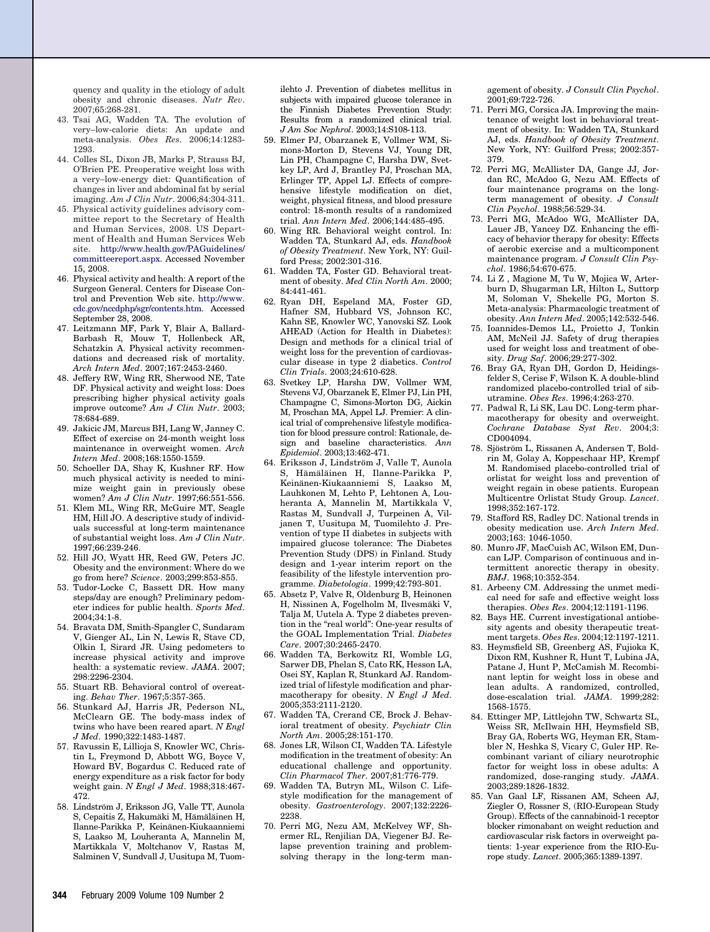<span id="page-14-0"></span>quency and quality in the etiology of adult obesity and chronic diseases. *Nutr Rev*. 2007;65:268-281.

- 43. Tsai AG, Wadden TA. The evolution of very–low-calorie diets: An update and meta-analysis. *Obes Res*. 2006;14:1283- 1293.
- 44. Colles SL, Dixon JB, Marks P, Strauss BJ, O'Brien PE. Preoperative weight loss with a very–low-energy diet: Quantification of changes in liver and abdominal fat by serial imaging. *Am J Clin Nutr*. 2006;84:304-311.
- 45. Physical activity guidelines advisory committee report to the Secretary of Health and Human Services, 2008. US Department of Health and Human Services Web site. [http://www.health.gov/PAGuidelines/](http://www.health.gov/PAGuidelines/committeereport.aspx) [committeereport.aspx.](http://www.health.gov/PAGuidelines/committeereport.aspx) Accessed November 15, 2008.
- 46. Physical activity and health: A report of the Surgeon General. Centers for Disease Control and Prevention Web site. [http://www.](http://www.cdc.gov/nccdphp/sgr/contents.htm) [cdc.gov/nccdphp/sgr/contents.htm.](http://www.cdc.gov/nccdphp/sgr/contents.htm) Accessed September 28, 2008.
- 47. Leitzmann MF, Park Y, Blair A, Ballard-Barbash R, Mouw T, Hollenbeck AR, Schatzkin A. Physical activity recommendations and decreased risk of mortality. *Arch Intern Med*. 2007;167:2453-2460.
- 48. Jeffery RW, Wing RR, Sherwood NE, Tate DF. Physical activity and weight loss: Does prescribing higher physical activity goals improve outcome? *Am J Clin Nutr*. 2003; 78:684-689.
- 49. Jakicic JM, Marcus BH, Lang W, Janney C. Effect of exercise on 24-month weight loss maintenance in overweight women. *Arch Intern Med*. 2008;168:1550-1559.
- 50. Schoeller DA, Shay K, Kushner RF. How much physical activity is needed to minimize weight gain in previously obese women? *Am J Clin Nutr*. 1997;66:551-556.
- 51. Klem ML, Wing RR, McGuire MT, Seagle HM, Hill JO. A descriptive study of individuals successful at long-term maintenance of substantial weight loss. *Am J Clin Nutr*. 1997;66:239-246.
- 52. Hill JO, Wyatt HR, Reed GW, Peters JC. Obesity and the environment: Where do we go from here? *Science*. 2003;299:853-855.
- 53. Tudor-Locke C, Bassett DR. How many steps/day are enough? Preliminary pedometer indices for public health. *Sports Med*. 2004;34:1-8.
- 54. Bravata DM, Smith-Spangler C, Sundaram V, Gienger AL, Lin N, Lewis R, Stave CD, Olkin I, Sirard JR. Using pedometers to increase physical activity and improve health: a systematic review. *JAMA*. 2007; 298:2296-2304.
- 55. Stuart RB. Behavioral control of overeating. *Behav Ther*. 1967;5:357-365.
- 56. Stunkard AJ, Harris JR, Pederson NL, McClearn GE. The body-mass index of twins who have been reared apart. *N Engl J Med*. 1990;322:1483-1487.
- 57. Ravussin E, Lillioja S, Knowler WC, Christin L, Freymond D, Abbott WG, Boyce V, Howard BV, Bogardus C. Reduced rate of energy expenditure as a risk factor for body weight gain. *N Engl J Med*. 1988;318:467- 472.
- 58. Lindström J, Eriksson JG, Valle TT, Aunola S, Cepaitis Z, Hakumäki M, Hämäläinen H, Ilanne-Parikka P, Keinänen-Kiukaanniemi S, Laakso M, Louheranta A, Mannelin M, Martikkala V, Moltchanov V, Rastas M, Salminen V, Sundvall J, Uusitupa M, Tuom-

ilehto J. Prevention of diabetes mellitus in subjects with impaired glucose tolerance in the Finnish Diabetes Prevention Study: Results from a randomized clinical trial. *J Am Soc Nephrol*. 2003;14:S108-113.

- 59. Elmer PJ, Obarzanek E, Vollmer WM, Simons-Morton D, Stevens VJ, Young DR, Lin PH, Champagne C, Harsha DW, Svetkey LP, Ard J, Brantley PJ, Proschan MA, Erlinger TP, Appel LJ. Effects of comprehensive lifestyle modification on diet, weight, physical fitness, and blood pressure control: 18-month results of a randomized trial. *Ann Intern Med*. 2006;144:485-495.
- 60. Wing RR. Behavioral weight control. In: Wadden TA, Stunkard AJ, eds. *Handbook of Obesity Treatment*. New York, NY: Guilford Press; 2002:301-316.
- 61. Wadden TA, Foster GD. Behavioral treatment of obesity. *Med Clin North Am*. 2000; 84:441-461.
- 62. Ryan DH, Espeland MA, Foster GD, Hafner SM, Hubbard VS, Johnson KC, Kahn SE, Knowler WC, Yanovski SZ. Look AHEAD (Action for Health in Diabetes): Design and methods for a clinical trial of weight loss for the prevention of cardiovascular disease in type 2 diabetics. *Control Clin Trials*. 2003;24:610-628.
- 63. Svetkey LP, Harsha DW, Vollmer WM, Stevens VJ, Obarzanek E, Elmer PJ, Lin PH, Champagne C, Simons-Morton DG, Aickin M, Proschan MA, Appel LJ. Premier: A clinical trial of comprehensive lifestyle modification for blood pressure control: Rationale, design and baseline characteristics. *Ann Epidemiol*. 2003;13:462-471.
- 64. Eriksson J, Lindström J, Valle T, Aunola S, Hämäläinen H, Ilanne-Parikka P, Keinänen-Kiukaanniemi S, Laakso M, Lauhkonen M, Lehto P, Lehtonen A, Louheranta A, Mannelin M, Martikkala V, Rastas M, Sundvall J, Turpeinen A, Viljanen T, Uusitupa M, Tuomilehto J. Prevention of type II diabetes in subjects with impaired glucose tolerance: The Diabetes Prevention Study (DPS) in Finland. Study design and 1-year interim report on the feasibility of the lifestyle intervention programme. *Diabetologia*. 1999;42:793-801.
- 65. Absetz P, Valve R, Oldenburg B, Heinonen H, Nissinen A, Fogelholm M, Ilvesmäki V, Talja M, Uutela A. Type 2 diabetes prevention in the "real world": One-year results of the GOAL Implementation Trial. *Diabetes Care*. 2007;30:2465-2470.
- 66. Wadden TA, Berkowitz RI, Womble LG, Sarwer DB, Phelan S, Cato RK, Hesson LA, Osei SY, Kaplan R, Stunkard AJ. Randomized trial of lifestyle modification and pharmacotherapy for obesity. *N Engl J Med*. 2005;353:2111-2120.
- 67. Wadden TA, Crerand CE, Brock J. Behavioral treatment of obesity. *Psychiatr Clin North Am*. 2005;28:151-170.
- 68. Jones LR, Wilson CI, Wadden TA. Lifestyle modification in the treatment of obesity: An educational challenge and opportunity. *Clin Pharmacol Ther*. 2007;81:776-779.
- 69. Wadden TA, Butryn ML, Wilson C. Lifestyle modification for the management of obesity. *Gastroenterology*. 2007;132:2226- 2238.
- 70. Perri MG, Nezu AM, McKelvey WF, Shermer RL, Renjilian DA, Viegener BJ. Relapse prevention training and problemsolving therapy in the long-term man-

agement of obesity. *J Consult Clin Psychol*. 2001;69:722-726.

- 71. Perri MG, Corsica JA. Improving the maintenance of weight lost in behavioral treatment of obesity. In: Wadden TA, Stunkard AJ, eds. *Handbook of Obesity Treatment*. New York, NY: Guilford Press; 2002:357- 379.
- 72. Perri MG, McAllister DA, Gange JJ, Jordan RC, McAdoo G, Nezu AM. Effects of four maintenance programs on the longterm management of obesity. *J Consult Clin Psychol*. 1988;56:529-34.
- 73. Perri MG, McAdoo WG, McAllister DA, Lauer JB, Yancey DZ. Enhancing the efficacy of behavior therapy for obesity: Effects of aerobic exercise and a multicomponent maintenance program. *J Consult Clin Psychol*. 1986;54:670-675.
- 74. Li Z , Magione M, Tu W, Mojica W, Arterburn D, Shugarman LR, Hilton L, Suttorp M, Soloman V, Shekelle PG, Morton S. Meta-analysis: Pharmacologic treatment of obesity. *Ann Intern Med*. 2005;142:532-546.
- 75. Ioannides-Demos LL, Proietto J, Tonkin AM, McNeil JJ. Safety of drug therapies used for weight loss and treatment of obesity. *Drug Saf*. 2006;29:277-302.
- 76. Bray GA, Ryan DH, Gordon D, Heidingsfelder S, Cerise F, Wilson K. A double-blind randomized placebo-controlled trial of sibutramine. *Obes Res*. 1996;4:263-270.
- 77. Padwal R, Li SK, Lau DC. Long-term pharmacotherapy for obesity and overweight. *Cochrane Database Syst Rev*. 2004;3: CD004094.
- 78. Sjöström L, Rissanen A, Andersen T, Boldrin M, Golay A, Koppeschaar HP, Krempf M. Randomised placebo-controlled trial of orlistat for weight loss and prevention of weight regain in obese patients. European Multicentre Orlistat Study Group. *Lancet*. 1998;352:167-172.
- 79. Stafford RS, Radley DC. National trends in obesity medication use. *Arch Intern Med*. 2003;163: 1046-1050.
- 80. Munro JF, MacCuish AC, Wilson EM, Duncan LJP. Comparison of continuous and intermittent anorectic therapy in obesity. *BMJ*. 1968;10:352-354.
- 81. Arbeeny CM. Addressing the unmet medical need for safe and effective weight loss therapies. *Obes Res*. 2004;12:1191-1196.
- 82. Bays HE. Current investigational antiobesity agents and obesity therapeutic treatment targets. *Obes Res*. 2004;12:1197-1211.
- 83. Heymsfield SB, Greenberg AS, Fujioka K, Dixon RM, Kushner R, Hunt T, Lubina JA, Patane J, Hunt P, McCamish M. Recombinant leptin for weight loss in obese and lean adults. A randomized, controlled, dose-escalation trial. *JAMA*. 1999;282: 1568-1575.
- 84. Ettinger MP, Littlejohn TW, Schwartz SL, Weiss SR, McIlwain HH, Heymsfield SB, Bray GA, Roberts WG, Heyman ER, Stambler N, Heshka S, Vicary C, Guler HP. Recombinant variant of ciliary neurotrophic factor for weight loss in obese adults: A randomized, dose-ranging study. *JAMA*. 2003;289:1826-1832.
- 85. Van Gaal LF, Rissanen AM, Scheen AJ, Ziegler O, Rossner S, (RIO-European Study Group). Effects of the cannabinoid-1 receptor blocker rimonabant on weight reduction and cardiovascular risk factors in overweight patients: 1-year experience from the RIO-Europe study. *Lancet*. 2005;365:1389-1397.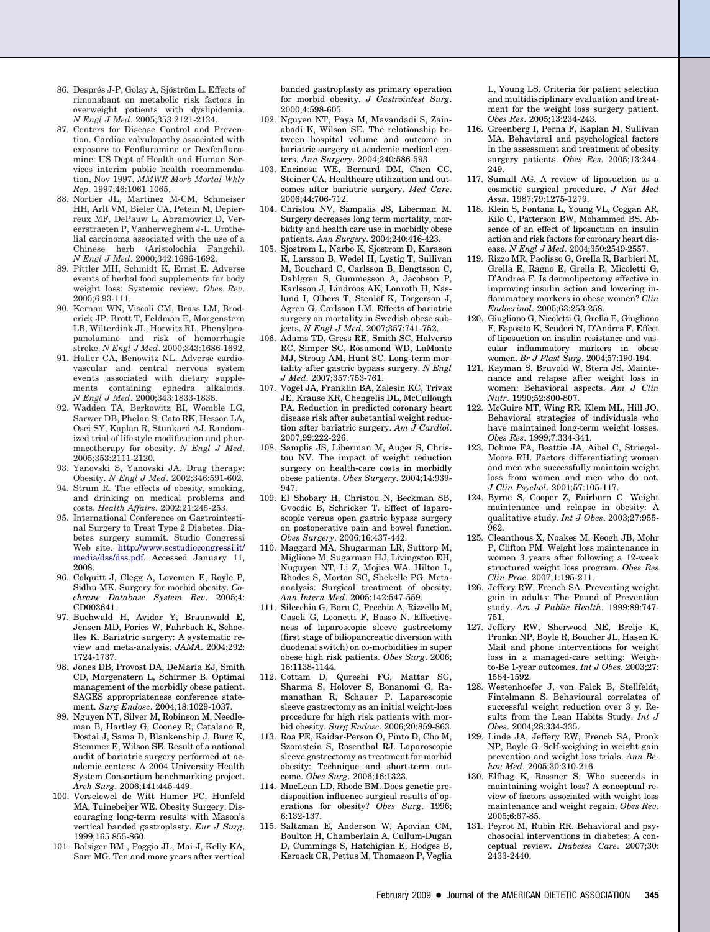- <span id="page-15-0"></span>86. Després J-P, Golay A, Sjöström L. Effects of rimonabant on metabolic risk factors in overweight patients with dyslipidemia. *N Engl J Med*. 2005;353:2121-2134.
- 87. Centers for Disease Control and Prevention. Cardiac valvulopathy associated with exposure to Fenfluramine or Dexfenfluramine: US Dept of Health and Human Services interim public health recommendation, Nov 1997. *MMWR Morb Mortal Wkly Rep*. 1997;46:1061-1065.
- 88. Nortier JL, Martinez M-CM, Schmeiser HH, Arlt VM, Bieler CA, Petein M, Depierreux MF, DePauw L, Abramowicz D, Vereerstraeten P, Vanherweghem J-L. Urothelial carcinoma associated with the use of a Chinese herb (Aristolochia Fangchi). *N Engl J Med*. 2000;342:1686-1692.
- 89. Pittler MH, Schmidt K, Ernst E. Adverse events of herbal food supplements for body weight loss: Systemic review. *Obes Rev*. 2005;6:93-111.
- 90. Kernan WN, Viscoli CM, Brass LM, Broderick JP, Brott T, Feldman E, Morgenstern LB, Wilterdink JL, Horwitz RL, Phenylpropanolamine and risk of hemorrhagic stroke. *N Engl J Med*. 2000;343:1686-1692.
- 91. Haller CA, Benowitz NL. Adverse cardiovascular and central nervous system events associated with dietary supplements containing ephedra alkaloids. *N Engl J Med.* 2000;343:1833-1838.
- 92. Wadden TA, Berkowitz RI, Womble LG, Sarwer DB, Phelan S, Cato RK, Hesson LA, Osei SY, Kaplan R, Stunkard AJ. Randomized trial of lifestyle modification and pharmacotherapy for obesity. *N Engl J Med*. 2005;353:2111-2120.
- 93. Yanovski S, Yanovski JA. Drug therapy: Obesity. *N Engl J Med*. 2002;346:591-602.
- 94. Strum R. The effects of obesity, smoking, and drinking on medical problems and costs. *Health Affairs*. 2002;21:245-253.
- 95. International Conference on Gastrointestinal Surgery to Treat Type 2 Diabetes. Diabetes surgery summit. Studio Congressi Web site. [http://www.scstudiocongressi.it/](http://www.scstudiocongressi.it/media/dss/dss.pdf) [media/dss/dss.pdf.](http://www.scstudiocongressi.it/media/dss/dss.pdf) Accessed January 11, 2008.
- 96. Colquitt J, Clegg A, Lovemen E, Royle P, Sidhu MK. Surgery for morbid obesity. *Cochrane Database System Rev*. 2005;4: CD003641.
- 97. Buchwald H, Avidor Y, Braunwald E, Jensen MD, Pories W, Fahrbach K, Schoelles K. Bariatric surgery: A systematic review and meta-analysis. *JAMA*. 2004;292: 1724-1737.
- 98. Jones DB, Provost DA, DeMaria EJ, Smith CD, Morgenstern L, Schirmer B. Optimal management of the morbidly obese patient. SAGES appropriateness conference statement. *Surg Endosc*. 2004;18:1029-1037.
- 99. Nguyen NT, Silver M, Robinson M, Needleman B, Hartley G, Cooney R, Catalano R, Dostal J, Sama D, Blankenship J, Burg K, Stemmer E, Wilson SE. Result of a national audit of bariatric surgery performed at academic centers: A 2004 University Health System Consortium benchmarking project. *Arch Surg*. 2006;141:445-449.
- 100. Verselewel de Witt Hamer PC, Hunfeld MA, Tuinebeijer WE. Obesity Surgery: Discouraging long-term results with Mason's vertical banded gastroplasty. *Eur J Surg*. 1999;165:855-860.
- 101. Balsiger BM , Poggio JL, Mai J, Kelly KA, Sarr MG. Ten and more years after vertical

banded gastroplasty as primary operation for morbid obesity. *J Gastrointest Surg*. 2000;4:598-605.

- 102. Nguyen NT, Paya M, Mavandadi S, Zainabadi K, Wilson SE. The relationship between hospital volume and outcome in bariatric surgery at academic medical centers. *Ann Surgery*. 2004;240:586-593.
- 103. Encinosa WE, Bernard DM, Chen CC, Steiner CA. Healthcare utilization and outcomes after bariatric surgery. *Med Care*. 2006;44:706-712.
- 104. Christou NV, Sampalis JS, Liberman M. Surgery decreases long term mortality, morbidity and health care use in morbidly obese patients. *Ann Surgery*. 2004;240:416-423.
- 105. Sjostrom L, Narbo K, Sjostrom D, Karason K, Larsson B, Wedel H, Lystig T, Sullivan M, Bouchard C, Carlsson B, Bengtsson C, Dahlgren S, Gummesson A, Jacobson P, Karlsson J, Lindroos AK, Lönroth H, Näslund I, Olbers T, Stenlöf K, Torgerson J, Agren G, Carlsson LM. Effects of bariatric surgery on mortality in Swedish obese subjects. *N Engl J Med*. 2007;357:741-752.
- 106. Adams TD, Gress RE, Smith SC, Halverso RC, Simper SC, Rosamond WD, LaMonte MJ, Stroup AM, Hunt SC. Long-term mortality after gastric bypass surgery. *N Engl J Med*. 2007;357:753-761.
- 107. Vogel JA, Franklin BA, Zalesin KC, Trivax JE, Krause KR, Chengelis DL, McCullough PA. Reduction in predicted coronary heart disease risk after substantial weight reduction after bariatric surgery. *Am J Cardiol*. 2007;99:222-226.
- 108. Samplis JS, Liberman M, Auger S, Christou NV. The impact of weight reduction surgery on health-care costs in morbidly obese patients. *Obes Surgery*. 2004;14:939- 947.
- 109. El Shobary H, Christou N, Beckman SB, Gvocdic B, Schricker T. Effect of laparoscopic versus open gastric bypass surgery on postoperative pain and bowel function. *Obes Surgery*. 2006;16:437-442.
- 110. Maggard MA, Shugarman LR, Suttorp M, Miglione M, Sugarman HJ, Livingston EH, Nuguyen NT, Li Z, Mojica WA. Hilton L, Rhodes S, Morton SC, Shekelle PG. Metaanalysis: Surgical treatment of obesity. *Ann Intern Med*. 2005;142:547-559.
- 111. Silecchia G, Boru C, Pecchia A, Rizzello M, Caseli G, Leonetti F, Basso N. Effectiveness of laparoscopic sleeve gastrectomy (first stage of biliopancreatic diversion with duodenal switch) on co-morbidities in super obese high risk patients. *Obes Surg*. 2006; 16:1138-1144.
- 112. Cottam D, Qureshi FG, Mattar SG, Sharma S, Holover S, Bonanomi G, Ramanathan R, Schauer P. Laparoscopic sleeve gastrectomy as an initial weight-loss procedure for high risk patients with morbid obesity. *Surg Endosc*. 2006;20:859-863.
- 113. Roa PE, Kaidar-Person O, Pinto D, Cho M, Szomstein S, Rosenthal RJ. Laparoscopic sleeve gastrectomy as treatment for morbid obesity: Technique and short-term outcome. *Obes Surg*. 2006;16:1323.
- 114. MacLean LD, Rhode BM. Does genetic predisposition influence surgical results of operations for obesity? *Obes Surg*. 1996; 6:132-137.
- 115. Saltzman E, Anderson W, Apovian CM, Boulton H, Chamberlain A, Cullum-Dugan D, Cummings S, Hatchigian E, Hodges B, Keroack CR, Pettus M, Thomason P, Veglia

L, Young LS. Criteria for patient selection and multidisciplinary evaluation and treatment for the weight loss surgery patient. *Obes Res*. 2005;13:234-243.

- 116. Greenberg I, Perna F, Kaplan M, Sullivan MA. Behavioral and psychological factors in the assessment and treatment of obesity surgery patients. *Obes Res*. 2005;13:244- 249.
- 117. Sumall AG. A review of liposuction as a cosmetic surgical procedure. *J Nat Med Assn*. 1987;79:1275-1279.
- 118. Klein S, Fontana L, Young VL, Coggan AR, Kilo C, Patterson BW, Mohammed BS. Absence of an effect of liposuction on insulin action and risk factors for coronary heart disease. *N Engl J Med*. 2004;350:2549-2557.
- 119. Rizzo MR, Paolisso G, Grella R, Barbieri M, Grella E, Ragno E, Grella R, Micoletti G, D'Andrea F. Is dermolipectomy effective in improving insulin action and lowering inflammatory markers in obese women? *Clin Endocrinol*. 2005;63:253-258.
- 120. Giugliano G, Nicoletti G, Grella E, Giugliano F, Esposito K, Scuderi N, D'Andres F. Effect of liposuction on insulin resistance and vascular inflammatory markers in obese women. *Br J Plast Surg*. 2004;57:190-194.
- 121. Kayman S, Bruvold W, Stern JS. Maintenance and relapse after weight loss in women: Behavioral aspects. *Am J Clin Nutr*. 1990;52:800-807.
- 122. McGuire MT, Wing RR, Klem ML, Hill JO. Behavioral strategies of individuals who have maintained long-term weight losses. *Obes Res*. 1999;7:334-341.
- 123. Dohme FA, Beattie JA, Aibel C, Striegel-Moore RH. Factors differentiating women and men who successfully maintain weight loss from women and men who do not. *J Clin Psychol*. 2001;57:105-117.
- 124. Byrne S, Cooper Z, Fairburn C. Weight maintenance and relapse in obesity: A qualitative study. *Int J Obes*. 2003;27:955- 962.
- 125. Cleanthous X, Noakes M, Keogh JB, Mohr P, Clifton PM. Weight loss maintenance in women 3 years after following a 12-week structured weight loss program. *Obes Res Clin Prac*. 2007;1:195-211.
- 126. Jeffery RW, French SA. Preventing weight gain in adults: The Pound of Prevention study. *Am J Public Health*. 1999;89:747- 751.
- 127. Jeffery RW, Sherwood NE, Brelje K, Pronkn NP, Boyle R, Boucher JL, Hasen K. Mail and phone interventions for weight loss in a managed-care setting: Weighto-Be 1-year outcomes. *Int J Obes*. 2003;27: 1584-1592.
- 128. Westenhoefer J, von Falck B, Stellfeldt, Fintelmann S. Behavioural correlates of successful weight reduction over 3 y. Results from the Lean Habits Study. *Int J Obes*. 2004;28:334-335.
- 129. Linde JA, Jeffery RW, French SA, Pronk NP, Boyle G. Self-weighing in weight gain prevention and weight loss trials. *Ann Behav Med*. 2005;30:210-216.
- 130. Elfhag K, Rossner S. Who succeeds in maintaining weight loss? A conceptual review of factors associated with weight loss maintenance and weight regain. *Obes Rev*. 2005;6:67-85.
- 131. Peyrot M, Rubin RR. Behavioral and psychosocial interventions in diabetes: A conceptual review. *Diabetes Care*. 2007;30: 2433-2440.